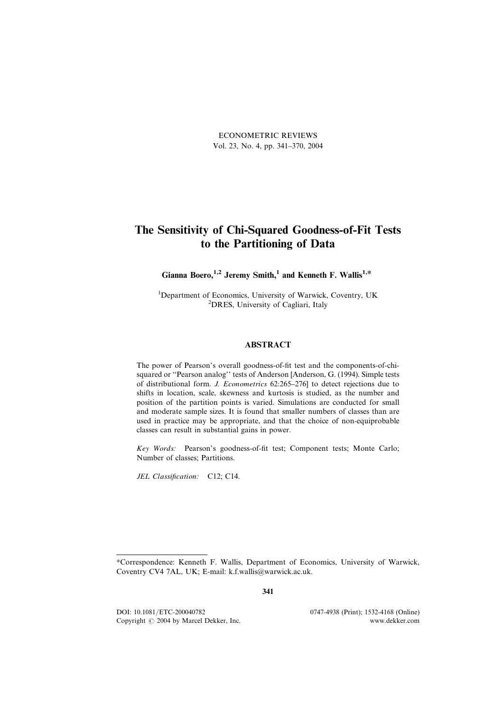ECONOMETRIC REVIEWS Vol. 23, No. 4, pp. 341–370, 2004

## The Sensitivity of Chi-Squared Goodness-of-Fit Tests to the Partitioning of Data

## Gianna Boero,<sup>1,2</sup> Jeremy Smith,<sup>1</sup> and Kenneth F. Wallis<sup>1,\*</sup>

<sup>1</sup>Department of Economics, University of Warwick, Coventry, UK<br><sup>2</sup>DPES, University of Costliggi, Italy <sup>2</sup>DRES, University of Cagliari, Italy

## ABSTRACT

The power of Pearson's overall goodness-of-fit test and the components-of-chisquared or ''Pearson analog'' tests of Anderson [Anderson, G. (1994). Simple tests of distributional form. J. Econometrics 62:265–276] to detect rejections due to shifts in location, scale, skewness and kurtosis is studied, as the number and position of the partition points is varied. Simulations are conducted for small and moderate sample sizes. It is found that smaller numbers of classes than are used in practice may be appropriate, and that the choice of non-equiprobable classes can result in substantial gains in power.

Key Words: Pearson's goodness-of-fit test; Component tests; Monte Carlo; Number of classes; Partitions.

JEL Classification: C12; C14.

341

DOI: 10.1081/ETC-200040782 0747-4938 (Print); 1532-4168 (Online) Copyright  $\odot$  2004 by Marcel Dekker, Inc. www.dekker.com

<sup>\*</sup>Correspondence: Kenneth F. Wallis, Department of Economics, University of Warwick, Coventry CV4 7AL, UK; E-mail: k.f.wallis@warwick.ac.uk.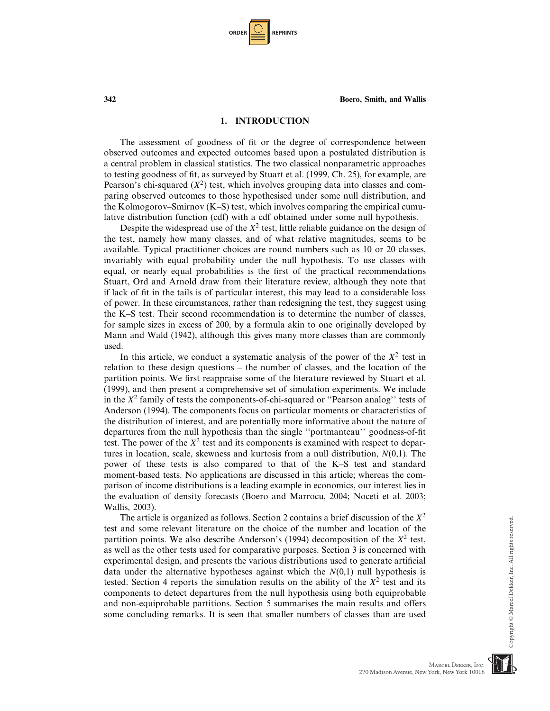| <b>ORDER</b> |  | <b>REPRINTS</b> |
|--------------|--|-----------------|
|--------------|--|-----------------|

#### 1. INTRODUCTION

The assessment of goodness of fit or the degree of correspondence between observed outcomes and expected outcomes based upon a postulated distribution is a central problem in classical statistics. The two classical nonparametric approaches to testing goodness of fit, as surveyed by Stuart et al. (1999, Ch. 25), for example, are Pearson's chi-squared  $(X^2)$  test, which involves grouping data into classes and comparing observed outcomes to those hypothesised under some null distribution, and the Kolmogorov–Smirnov (K–S) test, which involves comparing the empirical cumulative distribution function (cdf) with a cdf obtained under some null hypothesis.

Despite the widespread use of the  $X^2$  test, little reliable guidance on the design of the test, namely how many classes, and of what relative magnitudes, seems to be available. Typical practitioner choices are round numbers such as 10 or 20 classes, invariably with equal probability under the null hypothesis. To use classes with equal, or nearly equal probabilities is the first of the practical recommendations Stuart, Ord and Arnold draw from their literature review, although they note that if lack of fit in the tails is of particular interest, this may lead to a considerable loss of power. In these circumstances, rather than redesigning the test, they suggest using the K–S test. Their second recommendation is to determine the number of classes, for sample sizes in excess of 200, by a formula akin to one originally developed by Mann and Wald (1942), although this gives many more classes than are commonly used.

In this article, we conduct a systematic analysis of the power of the  $X^2$  test in relation to these design questions – the number of classes, and the location of the partition points. We first reappraise some of the literature reviewed by Stuart et al. (1999), and then present a comprehensive set of simulation experiments. We include in the  $X^2$  family of tests the components-of-chi-squared or "Pearson analog" tests of Anderson (1994). The components focus on particular moments or characteristics of the distribution of interest, and are potentially more informative about the nature of departures from the null hypothesis than the single ''portmanteau'' goodness-of-fit test. The power of the  $X^2$  test and its components is examined with respect to departures in location, scale, skewness and kurtosis from a null distribution,  $N(0,1)$ . The power of these tests is also compared to that of the K–S test and standard moment-based tests. No applications are discussed in this article; whereas the comparison of income distributions is a leading example in economics, our interest lies in the evaluation of density forecasts (Boero and Marrocu, 2004; Noceti et al. 2003; Wallis, 2003).

The article is organized as follows. Section 2 contains a brief discussion of the  $X^2$ test and some relevant literature on the choice of the number and location of the partition points. We also describe Anderson's (1994) decomposition of the  $X^2$  test, as well as the other tests used for comparative purposes. Section 3 is concerned with experimental design, and presents the various distributions used to generate artificial data under the alternative hypotheses against which the  $N(0,1)$  null hypothesis is tested. Section 4 reports the simulation results on the ability of the  $X^2$  test and its components to detect departures from the null hypothesis using both equiprobable and non-equiprobable partitions. Section 5 summarises the main results and offers some concluding remarks. It is seen that smaller numbers of classes than are used

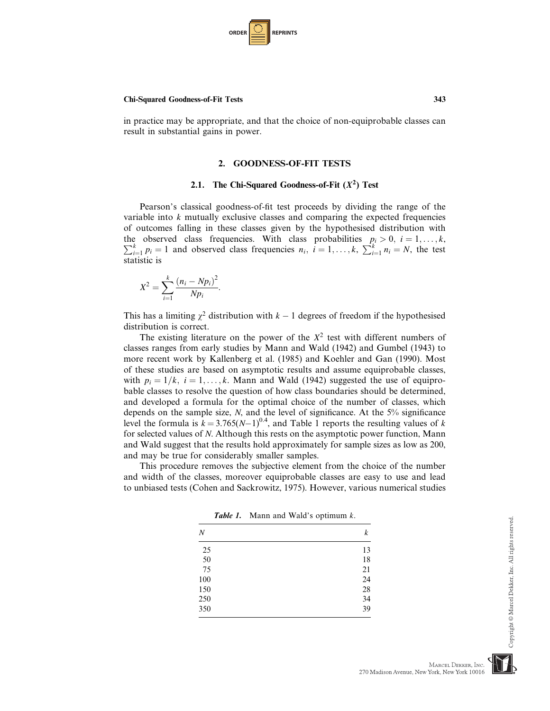| <b>ORDER</b> |  | <b>REPRINTS</b> |
|--------------|--|-----------------|
|--------------|--|-----------------|

in practice may be appropriate, and that the choice of non-equiprobable classes can result in substantial gains in power.

### 2. GOODNESS-OF-FIT TESTS

#### 2.1. The Chi-Squared Goodness-of-Fit  $(X^2)$  Test

Pearson's classical goodness-of-fit test proceeds by dividing the range of the variable into  $k$  mutually exclusive classes and comparing the expected frequencies of outcomes falling in these classes given by the hypothesised distribution with the observed class frequencies. With class probabilities the observed class frequencies. With class probabilities  $p_i > 0$ ,  $i = 1, ..., k$ ,  $\sum_{i=1}^{k} p_i = 1$  and observed class frequencies  $n_i$ ,  $i = 1, ..., k$ ,  $\sum_{i=1}^{k} n_i = N$ , the test  $\sum_{i=1}^{k} p_i = 1$  and observed class frequencies  $n_i$ ,  $i = 1, ..., k$ ,  $\sum_{i=1}^{k} n_i = N$ , the test statistic is

$$
X^{2} = \sum_{i=1}^{k} \frac{(n_{i} - Np_{i})^{2}}{Np_{i}}
$$

:

This has a limiting  $\chi^2$  distribution with  $k - 1$  degrees of freedom if the hypothesised distribution is correct.

The existing literature on the power of the  $X^2$  test with different numbers of classes ranges from early studies by Mann and Wald (1942) and Gumbel (1943) to more recent work by Kallenberg et al. (1985) and Koehler and Gan (1990). Most of these studies are based on asymptotic results and assume equiprobable classes, with  $p_i = 1/k$ ,  $i = 1, \ldots, k$ . Mann and Wald (1942) suggested the use of equiprobable classes to resolve the question of how class boundaries should be determined, and developed a formula for the optimal choice of the number of classes, which depends on the sample size,  $N$ , and the level of significance. At the  $5\%$  significance level the formula is  $k = 3.765(N-1)^{0.4}$ , and Table 1 reports the resulting values of k for selected values of N. Although this rests on the asymptotic power function, Mann and Wald suggest that the results hold approximately for sample sizes as low as 200, and may be true for considerably smaller samples.

This procedure removes the subjective element from the choice of the number and width of the classes, moreover equiprobable classes are easy to use and lead to unbiased tests (Cohen and Sackrowitz, 1975). However, various numerical studies

**Table 1.** Mann and Wald's optimum  $k$ .

| Ν   | k  |
|-----|----|
| 25  | 13 |
| 50  | 18 |
| 75  | 21 |
| 100 | 24 |
| 150 | 28 |
| 250 | 34 |
| 350 | 39 |

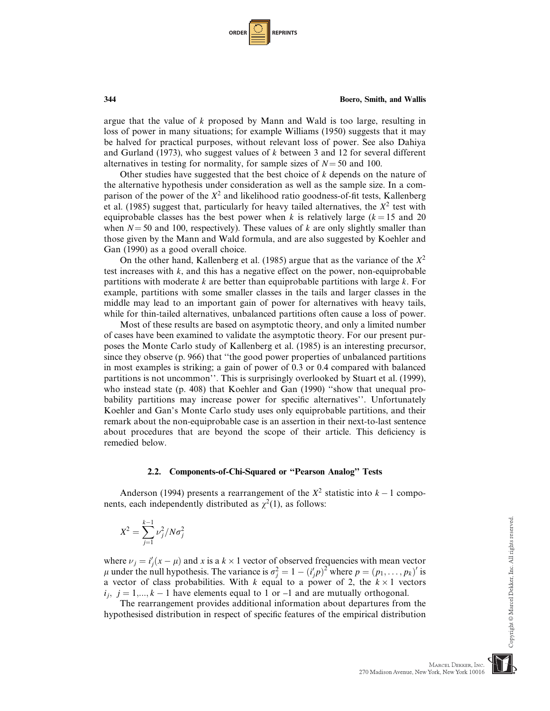| <b>ORDER</b> |  | <b>REPRINTS</b> |
|--------------|--|-----------------|
|--------------|--|-----------------|

argue that the value of k proposed by Mann and Wald is too large, resulting in loss of power in many situations; for example Williams (1950) suggests that it may be halved for practical purposes, without relevant loss of power. See also Dahiya and Gurland (1973), who suggest values of  $k$  between 3 and 12 for several different alternatives in testing for normality, for sample sizes of  $N = 50$  and 100.

Other studies have suggested that the best choice of  $k$  depends on the nature of the alternative hypothesis under consideration as well as the sample size. In a comparison of the power of the  $X^2$  and likelihood ratio goodness-of-fit tests, Kallenberg et al. (1985) suggest that, particularly for heavy tailed alternatives, the  $X^2$  test with equiprobable classes has the best power when k is relatively large ( $k = 15$  and 20 when  $N = 50$  and 100, respectively). These values of k are only slightly smaller than those given by the Mann and Wald formula, and are also suggested by Koehler and Gan (1990) as a good overall choice.

On the other hand, Kallenberg et al. (1985) argue that as the variance of the  $X^2$ test increases with  $k$ , and this has a negative effect on the power, non-equiprobable partitions with moderate  $k$  are better than equiprobable partitions with large  $k$ . For example, partitions with some smaller classes in the tails and larger classes in the middle may lead to an important gain of power for alternatives with heavy tails, while for thin-tailed alternatives, unbalanced partitions often cause a loss of power.

Most of these results are based on asymptotic theory, and only a limited number of cases have been examined to validate the asymptotic theory. For our present purposes the Monte Carlo study of Kallenberg et al. (1985) is an interesting precursor, since they observe (p. 966) that ''the good power properties of unbalanced partitions in most examples is striking; a gain of power of 0.3 or 0.4 compared with balanced partitions is not uncommon''. This is surprisingly overlooked by Stuart et al. (1999), who instead state (p. 408) that Koehler and Gan (1990) "show that unequal probability partitions may increase power for specific alternatives''. Unfortunately Koehler and Gan's Monte Carlo study uses only equiprobable partitions, and their remark about the non-equiprobable case is an assertion in their next-to-last sentence about procedures that are beyond the scope of their article. This deficiency is remedied below.

#### 2.2. Components-of-Chi-Squared or ''Pearson Analog'' Tests

Anderson (1994) presents a rearrangement of the  $X^2$  statistic into  $k - 1$  components, each independently distributed as  $\chi^2(1)$ , as follows:

$$
X^2 = \sum_{j=1}^{k-1} \nu_j^2 / N \sigma_j^2
$$

where  $\nu_j = i'_j(x - \mu)$  and x is a  $k \times 1$  vector of observed frequencies with mean vector  $\mu$  under the null hypothesis. The variance is  $\sigma^2 = 1 - (i'n)^2$  where  $n = (n_1, \ldots, n_i)'$  is  $\mu$  under the null hypothesis. The variance is  $\sigma_j^2 = 1 - (i'_j p)^2$  where  $p = (p_1, \dots, p_k)'$  is a vector of class probabilities. With k equal to a power of 2, the  $k \times 1$  vectors  $i, i-1, k-1$  have elements equal to 1 or -1 and are mutually orthogonal  $i_j$ ,  $j = 1,..., k - 1$  have elements equal to 1 or –1 and are mutually orthogonal.

The rearrangement provides additional information about departures from the hypothesised distribution in respect of specific features of the empirical distribution



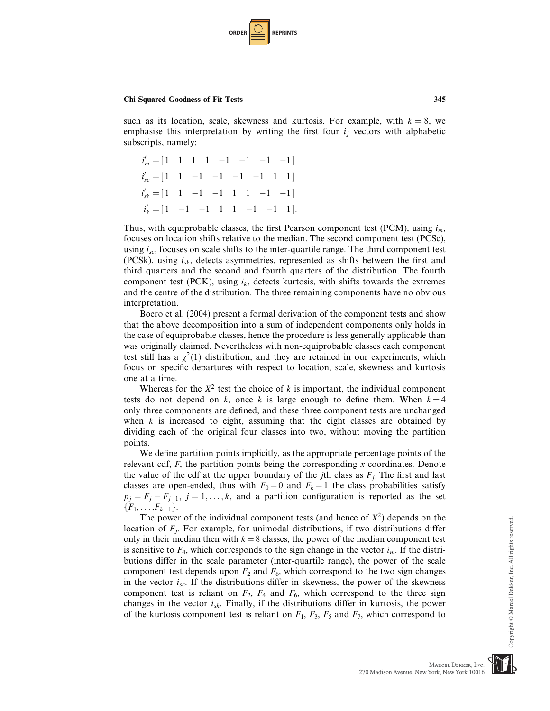

such as its location, scale, skewness and kurtosis. For example, with  $k = 8$ , we emphasise this interpretation by writing the first four  $i_j$  vectors with alphabetic subscripts, namely:

$$
i'_{m} = [1 \quad 1 \quad 1 \quad 1 \quad -1 \quad -1 \quad -1 \quad -1]
$$
  
\n
$$
i'_{sc} = [1 \quad 1 \quad -1 \quad -1 \quad -1 \quad -1 \quad 1 \quad 1]
$$
  
\n
$$
i'_{sk} = [1 \quad 1 \quad -1 \quad -1 \quad 1 \quad 1 \quad -1 \quad -1]
$$
  
\n
$$
i'_{k} = [1 \quad -1 \quad -1 \quad 1 \quad 1 \quad -1 \quad -1 \quad 1].
$$

Thus, with equiprobable classes, the first Pearson component test (PCM), using  $i_m$ , focuses on location shifts relative to the median. The second component test (PCSc), using  $i_{sc}$ , focuses on scale shifts to the inter-quartile range. The third component test (PCSk), using  $i_{sk}$ , detects asymmetries, represented as shifts between the first and third quarters and the second and fourth quarters of the distribution. The fourth component test (PCK), using  $i_k$ , detects kurtosis, with shifts towards the extremes and the centre of the distribution. The three remaining components have no obvious interpretation.

Boero et al. (2004) present a formal derivation of the component tests and show that the above decomposition into a sum of independent components only holds in the case of equiprobable classes, hence the procedure is less generally applicable than was originally claimed. Nevertheless with non-equiprobable classes each component test still has a  $\chi^2(1)$  distribution, and they are retained in our experiments, which focus on specific departures with respect to location, scale, skewness and kurtosis one at a time.

Whereas for the  $X^2$  test the choice of k is important, the individual component tests do not depend on k, once k is large enough to define them. When  $k = 4$ only three components are defined, and these three component tests are unchanged when  $k$  is increased to eight, assuming that the eight classes are obtained by dividing each of the original four classes into two, without moving the partition points.

We define partition points implicitly, as the appropriate percentage points of the relevant cdf,  $F$ , the partition points being the corresponding x-coordinates. Denote the value of the cdf at the upper boundary of the *j*th class as  $F_i$ . The first and last classes are open-ended, thus with  $F_0 = 0$  and  $F_k = 1$  the class probabilities satisfy  $p_j = F_j - F_{j-1}, j = 1, \ldots, k$ , and a partition configuration is reported as the set  ${F_1, \ldots, F_{k-1}}.$ 

The power of the individual component tests (and hence of  $X^2$ ) depends on the location of  $F_i$ . For example, for unimodal distributions, if two distributions differ only in their median then with  $k = 8$  classes, the power of the median component test is sensitive to  $F_4$ , which corresponds to the sign change in the vector  $i_m$ . If the distributions differ in the scale parameter (inter-quartile range), the power of the scale component test depends upon  $F_2$  and  $F_6$ , which correspond to the two sign changes in the vector  $i_{sc}$ . If the distributions differ in skewness, the power of the skewness component test is reliant on  $F_2$ ,  $F_4$  and  $F_6$ , which correspond to the three sign changes in the vector  $i_{sk}$ . Finally, if the distributions differ in kurtosis, the power of the kurtosis component test is reliant on  $F_1$ ,  $F_3$ ,  $F_5$  and  $F_7$ , which correspond to

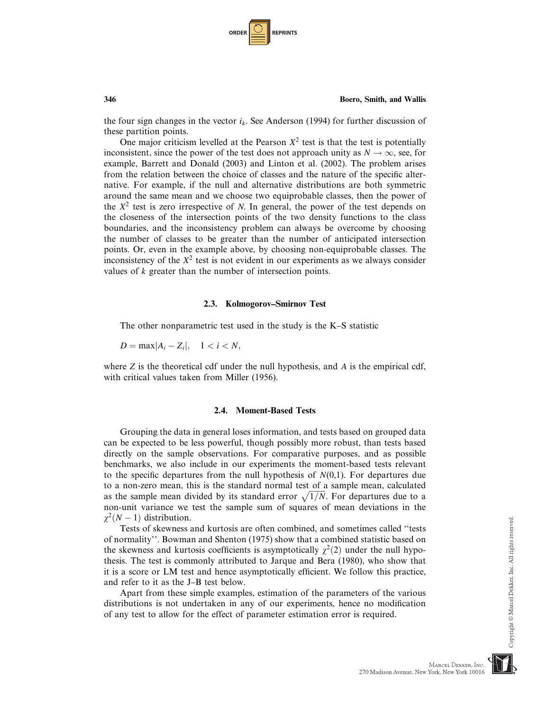| <b>ORDER</b> |  | <b>REPRINTS</b> |
|--------------|--|-----------------|
|--------------|--|-----------------|

the four sign changes in the vector  $i_k$ . See Anderson (1994) for further discussion of these partition points.

One major criticism levelled at the Pearson  $X^2$  test is that the test is potentially inconsistent, since the power of the test does not approach unity as  $N \to \infty$ , see, for example, Barrett and Donald (2003) and Linton et al. (2002). The problem arises from the relation between the choice of classes and the nature of the specific alternative. For example, if the null and alternative distributions are both symmetric around the same mean and we choose two equiprobable classes, then the power of the  $X^2$  test is zero irrespective of N. In general, the power of the test depends on the closeness of the intersection points of the two density functions to the class boundaries, and the inconsistency problem can always be overcome by choosing the number of classes to be greater than the number of anticipated intersection points. Or, even in the example above, by choosing non-equiprobable classes. The inconsistency of the  $X^2$  test is not evident in our experiments as we always consider values of k greater than the number of intersection points.

#### 2.3. Kolmogorov–Smirnov Test

The other nonparametric test used in the study is the K–S statistic

 $D = \max |A_i - Z_i|, \quad 1 < i < N,$ 

where  $Z$  is the theoretical cdf under the null hypothesis, and  $A$  is the empirical cdf, with critical values taken from Miller (1956).

#### 2.4. Moment-Based Tests

Grouping the data in general loses information, and tests based on grouped data can be expected to be less powerful, though possibly more robust, than tests based directly on the sample observations. For comparative purposes, and as possible benchmarks, we also include in our experiments the moment-based tests relevant to the specific departures from the null hypothesis of  $N(0,1)$ . For departures due to a non-zero mean, this is the standard normal test of a sample mean, calculated as the sample mean divided by its standard error  $\sqrt{1/N}$ . For departures due to a non-unit variance we test the sample sum of squares of mean deviations in the  $\chi^2(N-1)$  distribution.

Tests of skewness and kurtosis are often combined, and sometimes called ''tests of normality''. Bowman and Shenton (1975) show that a combined statistic based on the skewness and kurtosis coefficients is asymptotically  $\chi^2(2)$  under the null hypothesis. The test is commonly attributed to Jarque and Bera (1980), who show that it is a score or LM test and hence asymptotically efficient. We follow this practice, and refer to it as the J–B test below.

Apart from these simple examples, estimation of the parameters of the various distributions is not undertaken in any of our experiments, hence no modification of any test to allow for the effect of parameter estimation error is required.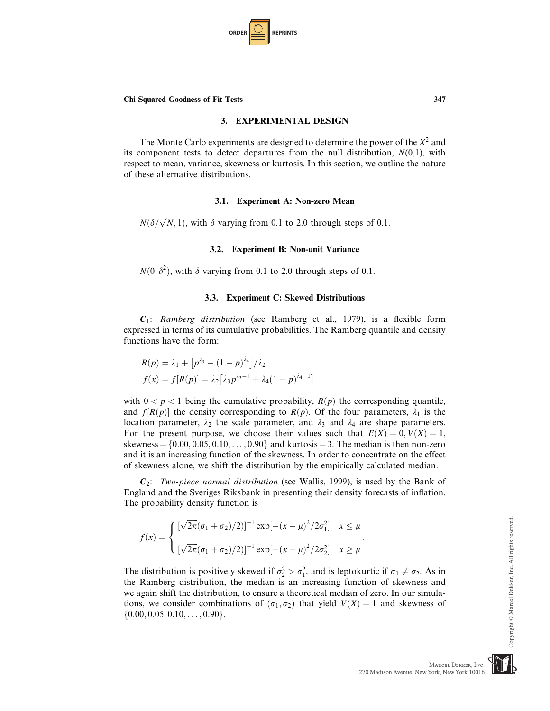| <b>ORDER</b> |  | <b>REPRINTS</b> |
|--------------|--|-----------------|
|--------------|--|-----------------|

#### 3. EXPERIMENTAL DESIGN

The Monte Carlo experiments are designed to determine the power of the  $X^2$  and its component tests to detect departures from the null distribution,  $N(0,1)$ , with respect to mean, variance, skewness or kurtosis. In this section, we outline the nature of these alternative distributions.

#### 3.1. Experiment A: Non-zero Mean

 $N(\delta/\sqrt{N}, 1)$ , with  $\delta$  varying from 0.1 to 2.0 through steps of 0.1.

#### 3.2. Experiment B: Non-unit Variance

 $N(0, \delta^2)$ , with  $\delta$  varying from 0.1 to 2.0 through steps of 0.1.

#### 3.3. Experiment C: Skewed Distributions

 $C_1$ : Ramberg distribution (see Ramberg et al., 1979), is a flexible form expressed in terms of its cumulative probabilities. The Ramberg quantile and density functions have the form:

$$
R(p) = \lambda_1 + [p^{\lambda_3} - (1 - p)^{\lambda_4}]/\lambda_2
$$
  

$$
f(x) = f[R(p)] = \lambda_2 [\lambda_3 p^{\lambda_3 - 1} + \lambda_4 (1 - p)^{\lambda_4 - 1}]
$$

with  $0 < p < 1$  being the cumulative probability,  $R(p)$  the corresponding quantile, and  $f[R(p)]$  the density corresponding to  $R(p)$ . Of the four parameters,  $\lambda_1$  is the location parameter,  $\lambda_2$  the scale parameter, and  $\lambda_3$  and  $\lambda_4$  are shape parameters. For the present purpose, we choose their values such that  $E(X) = 0, V(X) = 1$ , skewness =  $\{0.00, 0.05, 0.10, \ldots, 0.90\}$  and kurtosis = 3. The median is then non-zero and it is an increasing function of the skewness. In order to concentrate on the effect of skewness alone, we shift the distribution by the empirically calculated median.

 $C_2$ : Two-piece normal distribution (see Wallis, 1999), is used by the Bank of England and the Sveriges Riksbank in presenting their density forecasts of inflation. The probability density function is

$$
f(x) = \begin{cases} \left[\sqrt{2\pi}(\sigma_1 + \sigma_2)/2\right]^{-1} \exp[-(x-\mu)^2/2\sigma_1^2] & x \le \mu \\ \left[\sqrt{2\pi}(\sigma_1 + \sigma_2)/2\right]^{-1} \exp[-(x-\mu)^2/2\sigma_2^2] & x \ge \mu \end{cases}.
$$

The distribution is positively skewed if  $\sigma_2^2 > \sigma_1^2$ , and is leptokurtic if  $\sigma_1 \neq \sigma_2$ . As in the **Ramberg distribution** the median is an increasing function of skewness and the Ramberg distribution, the median is an increasing function of skewness and we again shift the distribution, to ensure a theoretical median of zero. In our simulations, we consider combinations of  $(\sigma_1, \sigma_2)$  that yield  $V(X) = 1$  and skewness of  $\{0.00, 0.05, 0.10, \ldots, 0.90\}.$ 

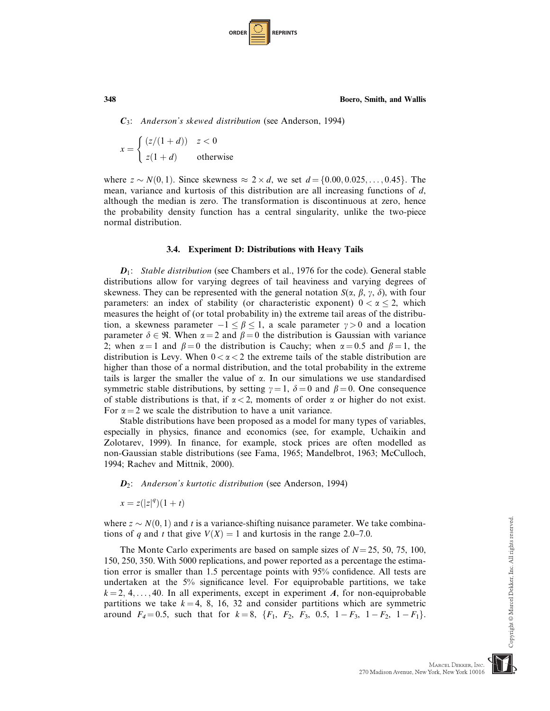| <b>ORDER I</b> |  | <b>REPRINTS</b> |
|----------------|--|-----------------|
|----------------|--|-----------------|

 $C_3$ : Anderson's skewed distribution (see Anderson, 1994)

$$
x = \begin{cases} (z/(1+d)) & z < 0\\ z(1+d) & \text{otherwise} \end{cases}
$$

where  $z \sim N(0, 1)$ . Since skewness  $\approx 2 \times d$ , we set  $d = \{0.00, 0.025, \ldots, 0.45\}$ . The mean variance and kurtosis of this distribution are all increasing functions of d mean, variance and kurtosis of this distribution are all increasing functions of  $d$ , although the median is zero. The transformation is discontinuous at zero, hence the probability density function has a central singularity, unlike the two-piece normal distribution.

## 3.4. Experiment D: Distributions with Heavy Tails

 $D_1$ : Stable distribution (see Chambers et al., 1976 for the code). General stable distributions allow for varying degrees of tail heaviness and varying degrees of skewness. They can be represented with the general notation  $S(\alpha, \beta, \gamma, \delta)$ , with four parameters: an index of stability (or characteristic exponent)  $0 < \alpha \leq 2$ , which measures the height of (or total probability in) the extreme tail areas of the distribution, a skewness parameter  $-1 \le \beta \le 1$ , a scale parameter  $\gamma > 0$  and a location parameter  $\delta \in \mathcal{R}$ . When  $\alpha = 2$  and  $\beta = 0$  the distribution is Gaussian with variance 2; when  $\alpha = 1$  and  $\beta = 0$  the distribution is Cauchy; when  $\alpha = 0.5$  and  $\beta = 1$ , the distribution is Levy. When  $0 < \alpha < 2$  the extreme tails of the stable distribution are higher than those of a normal distribution, and the total probability in the extreme tails is larger the smaller the value of  $\alpha$ . In our simulations we use standardised symmetric stable distributions, by setting  $\gamma = 1$ ,  $\delta = 0$  and  $\beta = 0$ . One consequence of stable distributions is that, if  $\alpha < 2$ , moments of order  $\alpha$  or higher do not exist. For  $\alpha = 2$  we scale the distribution to have a unit variance.

Stable distributions have been proposed as a model for many types of variables, especially in physics, finance and economics (see, for example, Uchaikin and Zolotarev, 1999). In finance, for example, stock prices are often modelled as non-Gaussian stable distributions (see Fama, 1965; Mandelbrot, 1963; McCulloch, 1994; Rachev and Mittnik, 2000).

 $D_2$ : Anderson's kurtotic distribution (see Anderson, 1994)

 $x = z(|z|^q)(1 + t)$ 

where  $z \sim N(0, 1)$  and t is a variance-shifting nuisance parameter. We take combinations of q and t that give  $V(X) = 1$  and kurtosis in the range 2.0–7.0.

The Monte Carlo experiments are based on sample sizes of  $N = 25, 50, 75, 100$ , 150, 250, 350. With 5000 replications, and power reported as a percentage the estimation error is smaller than 1.5 percentage points with 95% confidence. All tests are undertaken at the 5% significance level. For equiprobable partitions, we take  $k = 2, 4, \ldots, 40$ . In all experiments, except in experiment A, for non-equiprobable partitions we take  $k = 4, 8, 16, 32$  and consider partitions which are symmetric around  $F_4 = 0.5$ , such that for  $k = 8$ ,  $\{F_1, F_2, F_3, 0.5, 1 - F_3, 1 - F_2, 1 - F_1\}.$ 

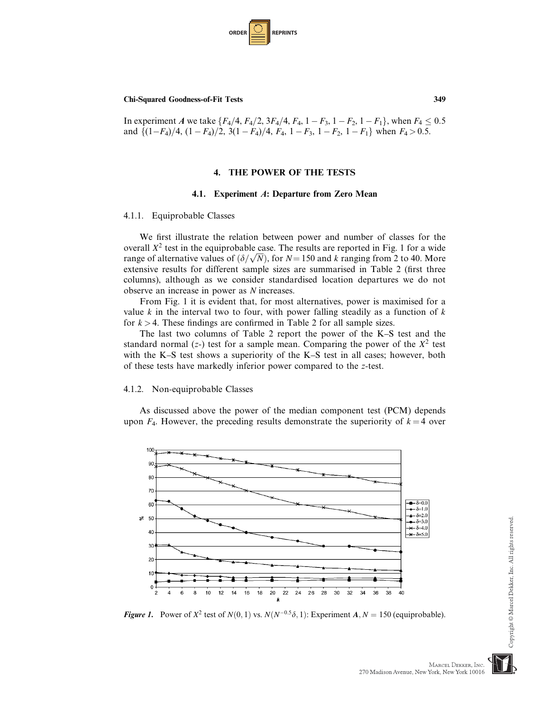

In experiment A we take  $\{F_4/4, F_4/2, 3F_4/4, F_4, 1 - F_3, 1 - F_2, 1 - F_1\}$ , when  $F_4 \le 0.5$ and  $\{(1-F_4)/4, (1 - F_4)/2, 3(1 - F_4)/4, F_4, 1 - F_3, 1 - F_2, 1 - F_1\}$  when  $F_4 > 0.5$ .

## 4. THE POWER OF THE TESTS

#### 4.1. Experiment A: Departure from Zero Mean

#### 4.1.1. Equiprobable Classes

We first illustrate the relation between power and number of classes for the overall  $X^2$  test in the equiprobable case. The results are reported in Fig. 1 for a wide range of alternative values of  $(\delta/\sqrt{N})$ , for  $N = 150$  and k ranging from 2 to 40. More extensive results for different sample sizes are summarised in Table 2 (first three columns), although as we consider standardised location departures we do not observe an increase in power as N increases.

From Fig. 1 it is evident that, for most alternatives, power is maximised for a value k in the interval two to four, with power falling steadily as a function of  $k$ for  $k > 4$ . These findings are confirmed in Table 2 for all sample sizes.

The last two columns of Table 2 report the power of the K–S test and the standard normal (z-) test for a sample mean. Comparing the power of the  $X^2$  test with the K–S test shows a superiority of the K–S test in all cases; however, both of these tests have markedly inferior power compared to the z-test.

#### 4.1.2. Non-equiprobable Classes

As discussed above the power of the median component test (PCM) depends upon  $F_4$ . However, the preceding results demonstrate the superiority of  $k = 4$  over



**Figure 1.** Power of  $X^2$  test of  $N(0, 1)$  vs.  $N(N^{-0.5}\delta, 1)$ : Experiment A,  $N = 150$  (equiprobable).

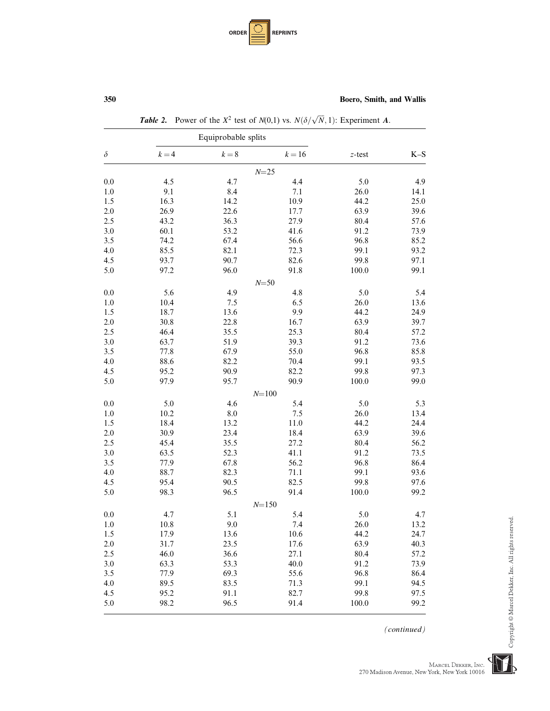| <b>ORDER</b> |  | <b>REPRINTS</b> |
|--------------|--|-----------------|
|--------------|--|-----------------|

|          |         | Equiprobable splits |           |           |       |
|----------|---------|---------------------|-----------|-----------|-------|
| $\delta$ | $k = 4$ | $k=8$               | $k = 16$  | $z$ -test | $K-S$ |
|          |         |                     | $N=25$    |           |       |
| 0.0      | 4.5     | 4.7                 | 4.4       | 5.0       | 4.9   |
| 1.0      | 9.1     | 8.4                 | 7.1       | 26.0      | 14.1  |
| 1.5      | 16.3    | 14.2                | 10.9      | 44.2      | 25.0  |
| $2.0\,$  | 26.9    | 22.6                | 17.7      | 63.9      | 39.6  |
| 2.5      | 43.2    | 36.3                | 27.9      | 80.4      | 57.6  |
| $3.0\,$  | 60.1    | 53.2                | 41.6      | 91.2      | 73.9  |
| 3.5      | 74.2    | 67.4                | 56.6      | 96.8      | 85.2  |
| $4.0\,$  | 85.5    | 82.1                | 72.3      | 99.1      | 93.2  |
| 4.5      | 93.7    | 90.7                | 82.6      | 99.8      | 97.1  |
| 5.0      | 97.2    | 96.0                | 91.8      | 100.0     | 99.1  |
|          |         |                     | $N = 50$  |           |       |
| $0.0\,$  | 5.6     | 4.9                 | 4.8       | 5.0       | 5.4   |
| 1.0      | 10.4    | 7.5                 | 6.5       | 26.0      | 13.6  |
| 1.5      | 18.7    | 13.6                | 9.9       | 44.2      | 24.9  |
| $2.0\,$  | 30.8    | 22.8                | 16.7      | 63.9      | 39.7  |
| 2.5      | 46.4    | 35.5                | 25.3      | 80.4      | 57.2  |
| $3.0\,$  | 63.7    | 51.9                | 39.3      | 91.2      | 73.6  |
| 3.5      | 77.8    | 67.9                | 55.0      | 96.8      | 85.8  |
| 4.0      | 88.6    | 82.2                | 70.4      | 99.1      | 93.5  |
| 4.5      | 95.2    | 90.9                | 82.2      | 99.8      | 97.3  |
| 5.0      | 97.9    | 95.7                | 90.9      | 100.0     | 99.0  |
|          |         |                     | $N = 100$ |           |       |
| $0.0\,$  | 5.0     | 4.6                 | 5.4       | 5.0       | 5.3   |
| 1.0      | 10.2    | $\ \, 8.0$          | 7.5       | 26.0      | 13.4  |
| 1.5      | 18.4    | 13.2                | 11.0      | 44.2      | 24.4  |
| $2.0\,$  | 30.9    | 23.4                | 18.4      | 63.9      | 39.6  |
| 2.5      | 45.4    | 35.5                | 27.2      | 80.4      | 56.2  |
| 3.0      | 63.5    | 52.3                | 41.1      | 91.2      | 73.5  |
| 3.5      | 77.9    | 67.8                | 56.2      | 96.8      | 86.4  |
| $4.0\,$  | 88.7    | 82.3                | 71.1      | 99.1      | 93.6  |
| 4.5      | 95.4    | 90.5                | 82.5      | 99.8      | 97.6  |
| 5.0      | 98.3    | 96.5                | 91.4      | 100.0     | 99.2  |
|          |         |                     | $N = 150$ |           |       |
| 0.0      | 4.7     | 5.1                 | 5.4       | 5.0       | 4.7   |
| 1.0      | 10.8    | 9.0                 | 7.4       | 26.0      | 13.2  |
| 1.5      | 17.9    | 13.6                | 10.6      | 44.2      | 24.7  |
| $2.0\,$  | 31.7    | 23.5                | 17.6      | 63.9      | 40.3  |
| 2.5      | 46.0    | 36.6                | 27.1      | 80.4      | 57.2  |
| 3.0      | 63.3    | 53.3                | 40.0      | 91.2      | 73.9  |
| 3.5      | 77.9    | 69.3                | 55.6      | 96.8      | 86.4  |
| 4.0      | 89.5    | 83.5                | 71.3      | 99.1      | 94.5  |
| 4.5      | 95.2    | 91.1                | 82.7      | 99.8      | 97.5  |
| 5.0      | 98.2    | 96.5                | 91.4      | 100.0     | 99.2  |

(continued)

 $\label{eq:MARCEL} \begin{minipage}{0.9\linewidth} \textbf{MACEL DEKKER, Inc.} \end{minipage}$  270 Madison Avenue, New York, New York 10016

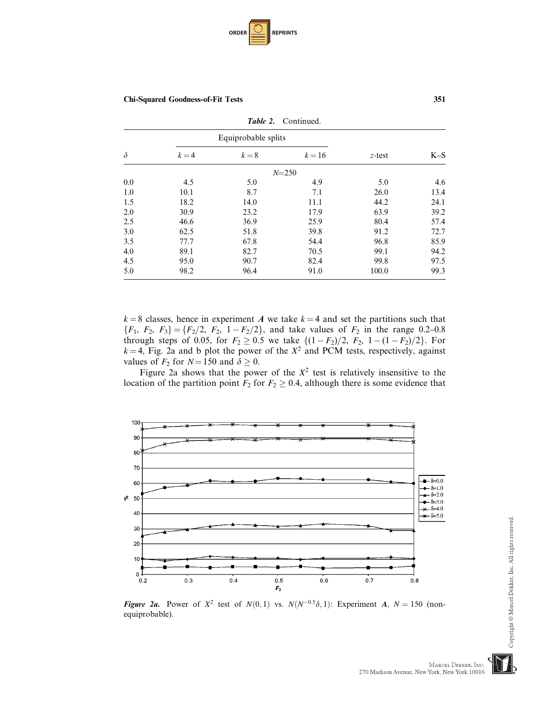

|          | <b>Table 2.</b> Continued. |                     |           |           |       |
|----------|----------------------------|---------------------|-----------|-----------|-------|
|          |                            | Equiprobable splits |           |           |       |
| $\delta$ | $k = 4$                    | $k=8$               | $k=16$    | $z$ -test | $K-S$ |
|          |                            |                     | $N = 250$ |           |       |
| 0.0      | 4.5                        | 5.0                 | 4.9       | 5.0       | 4.6   |
| 1.0      | 10.1                       | 8.7                 | 7.1       | 26.0      | 13.4  |
| 1.5      | 18.2                       | 14.0                | 11.1      | 44.2      | 24.1  |
| 2.0      | 30.9                       | 23.2                | 17.9      | 63.9      | 39.2  |
| 2.5      | 46.6                       | 36.9                | 25.9      | 80.4      | 57.4  |
| 3.0      | 62.5                       | 51.8                | 39.8      | 91.2      | 72.7  |
| 3.5      | 77.7                       | 67.8                | 54.4      | 96.8      | 85.9  |
| 4.0      | 89.1                       | 82.7                | 70.5      | 99.1      | 94.2  |
| 4.5      | 95.0                       | 90.7                | 82.4      | 99.8      | 97.5  |
| 5.0      | 98.2                       | 96.4                | 91.0      | 100.0     | 99.3  |

 $k = 8$  classes, hence in experiment A we take  $k = 4$  and set the partitions such that  ${F_1, F_2, F_3} = {F_2/2, F_2, 1 - F_2/2}$ , and take values of  $F_2$  in the range 0.2–0.8 through steps of 0.05, for  $F_2 \ge 0.5$  we take  $\{(1 - F_2)/2, F_2, 1 - (1 - F_2)/2\}$ . For  $k - 4$  Fig. 23 and b plot the power of the  $X^2$  and **PCM** tests respectively against  $k = 4$ , Fig. 2a and b plot the power of the  $X^2$  and PCM tests, respectively, against values of  $F_2$  for  $N = 150$  and  $\delta > 0$ values of  $F_2$  for  $N = 150$  and  $\delta \ge 0$ .

Figure 2a shows that the power of the  $X^2$  test is relatively insensitive to the location of the partition point  $F_2$  for  $F_2 \geq 0.4$ , although there is some evidence that



Figure 2a. Power of  $X^2$  test of  $N(0,1)$  vs.  $N(N^{-0.5}\delta, 1)$ : Experiment A,  $N = 150$  (nonequiprobable).

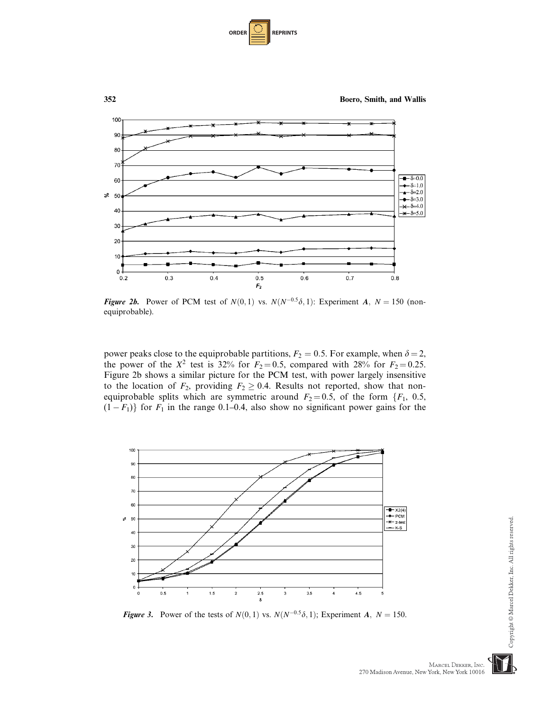| <b>ORDER</b> | <b>REPRINTS</b> |  |
|--------------|-----------------|--|
|--------------|-----------------|--|



Figure 2b. Power of PCM test of  $N(0,1)$  vs.  $N(N^{-0.5}\delta, 1)$ : Experiment A,  $N = 150$  (nonequiprobable).

power peaks close to the equiprobable partitions,  $F_2 = 0.5$ . For example, when  $\delta = 2$ , the power of the  $X^2$  test is 32% for  $F_2 = 0.5$ , compared with 28% for  $F_2 = 0.25$ . Figure 2b shows a similar picture for the PCM test, with power largely insensitive to the location of  $F_2$ , providing  $F_2 \geq 0.4$ . Results not reported, show that nonequiprobable splits which are symmetric around  $F_2 = 0.5$ , of the form  $\{F_1, 0.5,$  $(1 - F_1)$ } for  $F_1$  in the range 0.1–0.4, also show no significant power gains for the



**Figure 3.** Power of the tests of  $N(0, 1)$  vs.  $N(N^{-0.5}\delta, 1)$ ; Experiment A;  $N = 150$ .



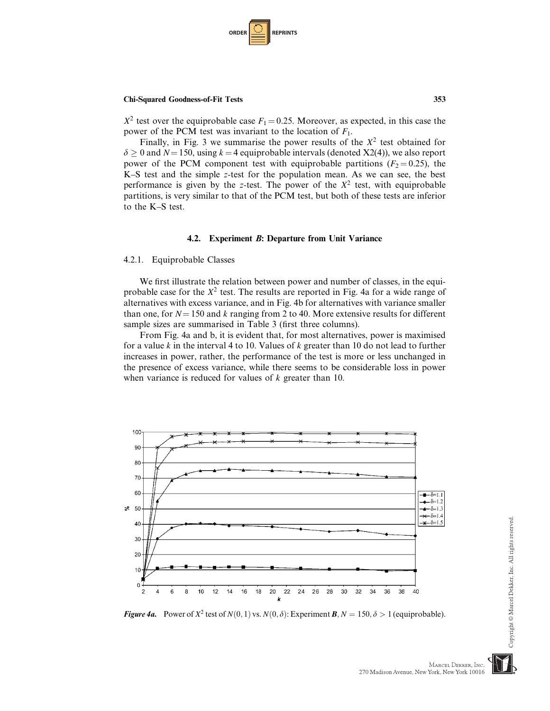

 $X^2$  test over the equiprobable case  $F_1 = 0.25$ . Moreover, as expected, in this case the power of the PCM test was invariant to the location of  $F_1$ .

Finally, in Fig. 3 we summarise the power results of the  $X^2$  test obtained for  $\delta \ge 0$  and  $N = 150$ , using  $k = 4$  equiprobable intervals (denoted X2(4)), we also report power of the PCM component test with equiprobable partitions ( $F_2 = 0.25$ ), the K–S test and the simple z-test for the population mean. As we can see, the best performance is given by the z-test. The power of the  $X<sup>2</sup>$  test, with equiprobable partitions, is very similar to that of the PCM test, but both of these tests are inferior to the K–S test.

#### 4.2. Experiment B: Departure from Unit Variance

#### 4.2.1. Equiprobable Classes

We first illustrate the relation between power and number of classes, in the equiprobable case for the  $X^2$  test. The results are reported in Fig. 4a for a wide range of alternatives with excess variance, and in Fig. 4b for alternatives with variance smaller than one, for  $N = 150$  and k ranging from 2 to 40. More extensive results for different sample sizes are summarised in Table 3 (first three columns).

From Fig. 4a and b, it is evident that, for most alternatives, power is maximised for a value k in the interval 4 to 10. Values of k greater than 10 do not lead to further increases in power, rather, the performance of the test is more or less unchanged in the presence of excess variance, while there seems to be considerable loss in power when variance is reduced for values of *k* greater than 10.



**Figure 4a.** Power of  $X^2$  test of  $N(0, 1)$  vs.  $N(0, \delta)$ : Experiment **B**,  $N = 150, \delta > 1$  (equiprobable).

MARCEL DEKKER, INC.

270 Madison Avenue, New York, New York 10016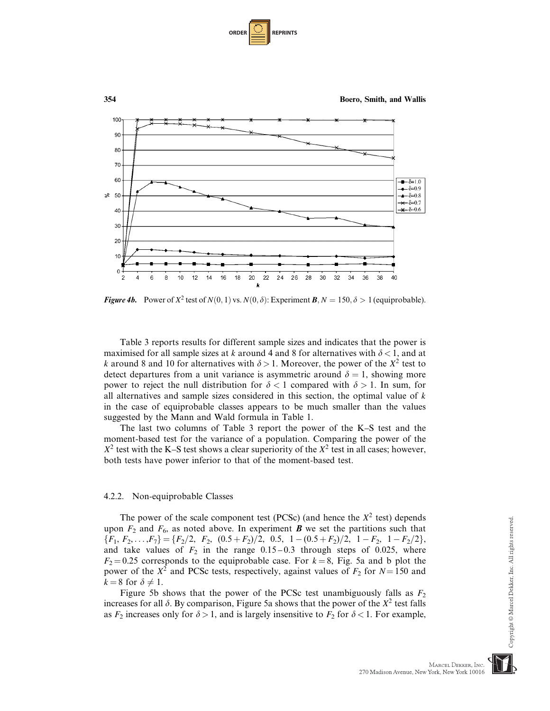| <b>ORDER</b> | <b>REPRINTS</b> |
|--------------|-----------------|
|--------------|-----------------|



**Figure 4b.** Power of  $X^2$  test of  $N(0, 1)$  vs.  $N(0, \delta)$ : Experiment **B**,  $N = 150, \delta > 1$  (equiprobable).

Table 3 reports results for different sample sizes and indicates that the power is maximised for all sample sizes at k around 4 and 8 for alternatives with  $\delta$  < 1, and at k around 8 and 10 for alternatives with  $\delta > 1$ . Moreover, the power of the  $X^2$  test to detect departures from a unit variance is asymmetric around  $\delta = 1$ , showing more power to reject the null distribution for  $\delta < 1$  compared with  $\delta > 1$ . In sum, for all alternatives and sample sizes considered in this section, the optimal value of  $k$ in the case of equiprobable classes appears to be much smaller than the values suggested by the Mann and Wald formula in Table 1.

The last two columns of Table 3 report the power of the K–S test and the moment-based test for the variance of a population. Comparing the power of the  $X^2$  test with the K–S test shows a clear superiority of the  $X^2$  test in all cases; however, both tests have power inferior to that of the moment-based test.

#### 4.2.2. Non-equiprobable Classes

The power of the scale component test (PCSc) (and hence the  $X^2$  test) depends upon  $F_2$  and  $F_6$ , as noted above. In experiment **B** we set the partitions such that  ${F_1, F_2, \ldots, F_7} = {F_2/2, F_2, (0.5 + F_2)/2, 0.5, 1 - (0.5 + F_2)/2, 1 - F_2, 1 - F_2/2},$ and take values of  $F_2$  in the range 0.15 – 0.3 through steps of 0.025, where  $F_2 = 0.25$  corresponds to the equiprobable case. For  $k = 8$ , Fig. 5a and b plot the power of the  $X^2$  and PCSc tests, respectively, against values of  $F_2$  for  $N = 150$  and  $k = 8$  for  $\delta \neq 1$ .

Figure 5b shows that the power of the PCSc test unambiguously falls as  $F_2$ increases for all  $\delta$ . By comparison, Figure 5a shows that the power of the  $X^2$  test falls as  $F_2$  increases only for  $\delta > 1$ , and is largely insensitive to  $F_2$  for  $\delta < 1$ . For example,

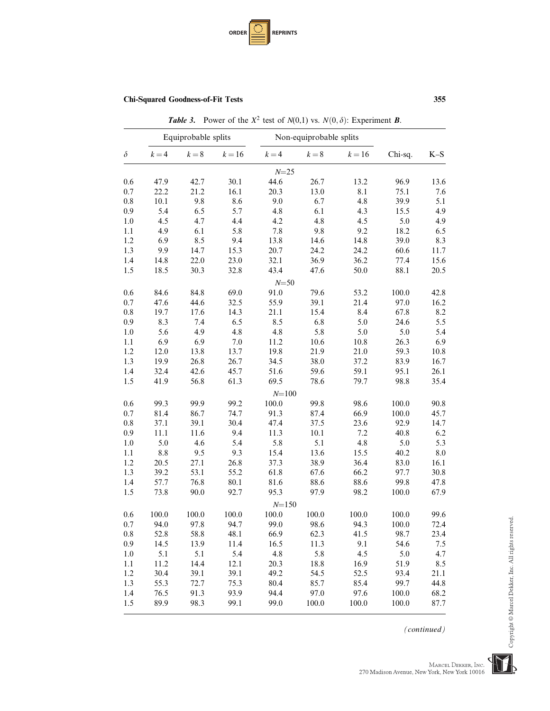

**Table 3.** Power of the  $X^2$  test of  $N(0,1)$  vs.  $N(0,\delta)$ : Experiment **B**.

|          |         | Equiprobable splits |        |           | Non-equiprobable splits |        |         |       |
|----------|---------|---------------------|--------|-----------|-------------------------|--------|---------|-------|
| $\delta$ | $k = 4$ | $k=8$               | $k=16$ | $k = 4$   | $k=8$                   | $k=16$ | Chi-sq. | $K-S$ |
|          |         |                     |        | $N = 25$  |                         |        |         |       |
| 0.6      | 47.9    | 42.7                | 30.1   | 44.6      | 26.7                    | 13.2   | 96.9    | 13.6  |
| 0.7      | 22.2    | 21.2                | 16.1   | 20.3      | 13.0                    | 8.1    | 75.1    | 7.6   |
| 0.8      | 10.1    | 9.8                 | 8.6    | 9.0       | 6.7                     | 4.8    | 39.9    | 5.1   |
| 0.9      | 5.4     | 6.5                 | 5.7    | 4.8       | 6.1                     | 4.3    | 15.5    | 4.9   |
| 1.0      | 4.5     | 4.7                 | 4.4    | 4.2       | 4.8                     | 4.5    | 5.0     | 4.9   |
| 1.1      | 4.9     | 6.1                 | 5.8    | 7.8       | 9.8                     | 9.2    | 18.2    | 6.5   |
| 1.2      | 6.9     | 8.5                 | 9.4    | 13.8      | 14.6                    | 14.8   | 39.0    | 8.3   |
| 1.3      | 9.9     | 14.7                | 15.3   | 20.7      | 24.2                    | 24.2   | 60.6    | 11.7  |
| 1.4      | 14.8    | 22.0                | 23.0   | 32.1      | 36.9                    | 36.2   | 77.4    | 15.6  |
| 1.5      | 18.5    | 30.3                | 32.8   | 43.4      | 47.6                    | 50.0   | 88.1    | 20.5  |
|          |         |                     |        | $N = 50$  |                         |        |         |       |
| 0.6      | 84.6    | 84.8                | 69.0   | 91.0      | 79.6                    | 53.2   | 100.0   | 42.8  |
| 0.7      | 47.6    | 44.6                | 32.5   | 55.9      | 39.1                    | 21.4   | 97.0    | 16.2  |
| 0.8      | 19.7    | 17.6                | 14.3   | 21.1      | 15.4                    | 8.4    | 67.8    | 8.2   |
| 0.9      | 8.3     | 7.4                 | 6.5    | 8.5       | 6.8                     | 5.0    | 24.6    | 5.5   |
| 1.0      | 5.6     | 4.9                 | 4.8    | 4.8       | 5.8                     | 5.0    | 5.0     | 5.4   |
| 1.1      | 6.9     | 6.9                 | 7.0    | 11.2      | 10.6                    | 10.8   | 26.3    | 6.9   |
| 1.2      | 12.0    | 13.8                | 13.7   | 19.8      | 21.9                    | 21.0   | 59.3    | 10.8  |
| 1.3      | 19.9    | 26.8                | 26.7   | 34.5      | 38.0                    | 37.2   | 83.9    | 16.7  |
| 1.4      | 32.4    | 42.6                | 45.7   | 51.6      | 59.6                    | 59.1   | 95.1    | 26.1  |
| 1.5      | 41.9    | 56.8                | 61.3   | 69.5      | 78.6                    | 79.7   | 98.8    | 35.4  |
|          |         |                     |        | $N = 100$ |                         |        |         |       |
| 0.6      | 99.3    | 99.9                | 99.2   | 100.0     | 99.8                    | 98.6   | 100.0   | 90.8  |
| 0.7      | 81.4    | 86.7                | 74.7   | 91.3      | 87.4                    | 66.9   | 100.0   | 45.7  |
| 0.8      | 37.1    | 39.1                | 30.4   | 47.4      | 37.5                    | 23.6   | 92.9    | 14.7  |
| 0.9      | 11.1    | 11.6                | 9.4    | 11.3      | 10.1                    | 7.2    | 40.8    | 6.2   |
| 1.0      | 5.0     | 4.6                 | 5.4    | 5.8       | 5.1                     | 4.8    | 5.0     | 5.3   |
| 1.1      | 8.8     | 9.5                 | 9.3    | 15.4      | 13.6                    | 15.5   | 40.2    | 8.0   |
| 1.2      | 20.5    | 27.1                | 26.8   | 37.3      | 38.9                    | 36.4   | 83.0    | 16.1  |
| 1.3      | 39.2    | 53.1                | 55.2   | 61.8      | 67.6                    | 66.2   | 97.7    | 30.8  |
| 1.4      | 57.7    | 76.8                | 80.1   | 81.6      | 88.6                    | 88.6   | 99.8    | 47.8  |
| 1.5      | 73.8    | 90.0                | 92.7   | 95.3      | 97.9                    | 98.2   | 100.0   | 67.9  |
|          |         |                     |        | $N = 150$ |                         |        |         |       |
| 0.6      | 100.0   | 100.0               | 100.0  | 100.0     | 100.0                   | 100.0  | 100.0   | 99.6  |
| 0.7      | 94.0    | 97.8                | 94.7   | 99.0      | 98.6                    | 94.3   | 100.0   | 72.4  |
| 0.8      | 52.8    | 58.8                | 48.1   | 66.9      | 62.3                    | 41.5   | 98.7    | 23.4  |
| 0.9      | 14.5    | 13.9                | 11.4   | 16.5      | 11.3                    | 9.1    | 54.6    | 7.5   |
| 1.0      | 5.1     | 5.1                 | 5.4    | 4.8       | 5.8                     | 4.5    | 5.0     | 4.7   |
| 1.1      | 11.2    | 14.4                | 12.1   | 20.3      | 18.8                    | 16.9   | 51.9    | 8.5   |
| 1.2      | 30.4    | 39.1                | 39.1   | 49.2      | 54.5                    | 52.5   | 93.4    | 21.1  |
| 1.3      | 55.3    | 72.7                | 75.3   | 80.4      | 85.7                    | 85.4   | 99.7    | 44.8  |
| 1.4      | 76.5    | 91.3                | 93.9   | 94.4      | 97.0                    | 97.6   | 100.0   | 68.2  |
| 1.5      | 89.9    | 98.3                | 99.1   | 99.0      | 100.0                   | 100.0  | 100.0   | 87.7  |

(continued)

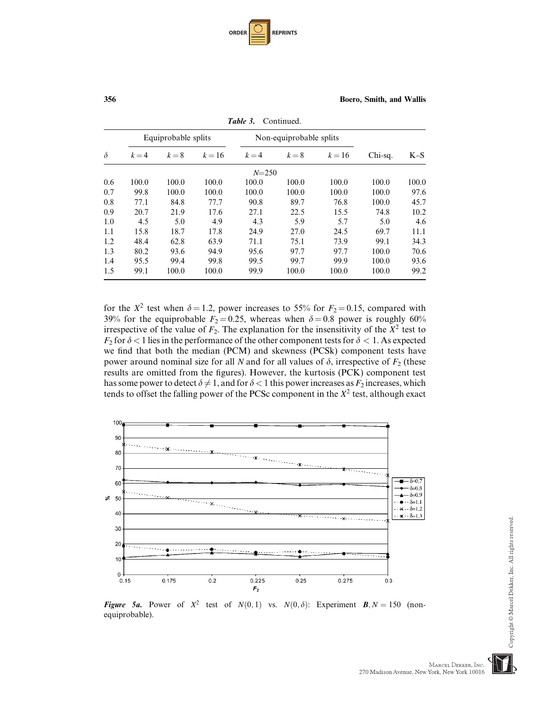| <b>ORDER</b> |  | <b>REPRINTS</b> |
|--------------|--|-----------------|
|--------------|--|-----------------|

|          |         | Equiprobable splits |          |           | Non-equiprobable splits |        |         |       |
|----------|---------|---------------------|----------|-----------|-------------------------|--------|---------|-------|
| $\delta$ | $k = 4$ | $k=8$               | $k = 16$ | $k = 4$   | $k=8$                   | $k=16$ | Chi-sq. | $K-S$ |
|          |         |                     |          | $N = 250$ |                         |        |         |       |
| 0.6      | 100.0   | 100.0               | 100.0    | 100.0     | 100.0                   | 100.0  | 100.0   | 100.0 |
| 0.7      | 99.8    | 100.0               | 100.0    | 100.0     | 100.0                   | 100.0  | 100.0   | 97.6  |
| 0.8      | 77.1    | 84.8                | 77.7     | 90.8      | 89.7                    | 76.8   | 100.0   | 45.7  |
| 0.9      | 20.7    | 21.9                | 17.6     | 27.1      | 22.5                    | 15.5   | 74.8    | 10.2  |
| 1.0      | 4.5     | 5.0                 | 4.9      | 4.3       | 5.9                     | 5.7    | 5.0     | 4.6   |
| 1.1      | 15.8    | 18.7                | 17.8     | 24.9      | 27.0                    | 24.5   | 69.7    | 11.1  |
| 1.2      | 48.4    | 62.8                | 63.9     | 71.1      | 75.1                    | 73.9   | 99.1    | 34.3  |
| 1.3      | 80.2    | 93.6                | 94.9     | 95.6      | 97.7                    | 97.7   | 100.0   | 70.6  |
| 1.4      | 95.5    | 99.4                | 99.8     | 99.5      | 99.7                    | 99.9   | 100.0   | 93.6  |
| 1.5      | 99.1    | 100.0               | 100.0    | 99.9      | 100.0                   | 100.0  | 100.0   | 99.2  |

Table 3. Continued.

for the  $X^2$  test when  $\delta = 1.2$ , power increases to 55% for  $F_2 = 0.15$ , compared with 39% for the equiprobable  $F_2 = 0.25$ , whereas when  $\delta = 0.8$  power is roughly 60% irrespective of the value of  $F_2$ . The explanation for the insensitivity of the  $X^2$  test to  $F_2$  for  $\delta$  < 1 lies in the performance of the other component tests for  $\delta$  < 1. As expected we find that both the median (PCM) and skewness (PCSk) component tests have power around nominal size for all N and for all values of  $\delta$ , irrespective of  $F_2$  (these results are omitted from the figures). However, the kurtosis (PCK) component test has some power to detect  $\delta \neq 1$ , and for  $\delta < 1$  this power increases as  $F_2$  increases, which tends to offset the falling power of the PCSc component in the  $X^2$  test, although exact



Figure 5a. Power of  $X^2$  test of  $N(0,1)$  vs.  $N(0,\delta)$ : Experiment  $\mathbf{B}, N = 150$  (nonequiprobable).

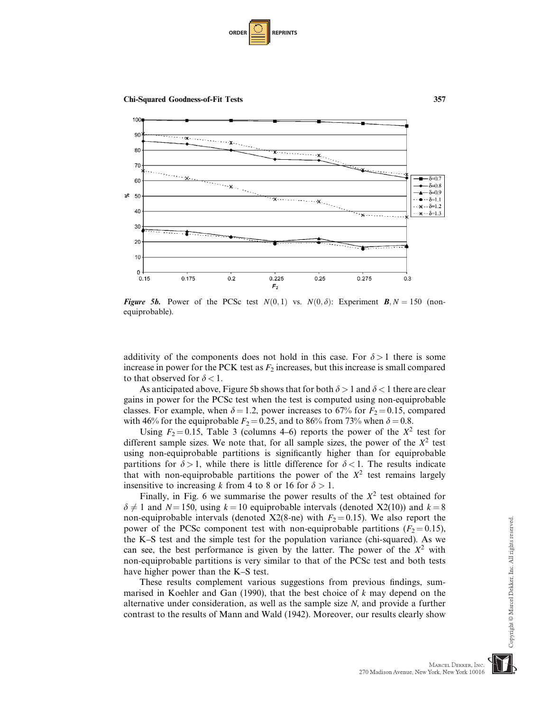



**Figure 5b.** Power of the PCSc test  $N(0,1)$  vs.  $N(0,\delta)$ : Experiment **B**,  $N = 150$  (nonequiprobable).

additivity of the components does not hold in this case. For  $\delta > 1$  there is some increase in power for the PCK test as  $F_2$  increases, but this increase is small compared to that observed for  $\delta < 1$ .

As anticipated above, Figure 5b shows that for both  $\delta > 1$  and  $\delta < 1$  there are clear gains in power for the PCSc test when the test is computed using non-equiprobable classes. For example, when  $\delta = 1.2$ , power increases to 67% for  $F_2 = 0.15$ , compared with 46% for the equiprobable  $F_2 = 0.25$ , and to 86% from 73% when  $\delta = 0.8$ .

Using  $F_2 = 0.15$ , Table 3 (columns 4–6) reports the power of the  $X^2$  test for different sample sizes. We note that, for all sample sizes, the power of the  $X<sup>2</sup>$  test using non-equiprobable partitions is significantly higher than for equiprobable partitions for  $\delta > 1$ , while there is little difference for  $\delta < 1$ . The results indicate that with non-equiprobable partitions the power of the  $X^2$  test remains largely insensitive to increasing k from 4 to 8 or 16 for  $\delta > 1$ .

Finally, in Fig. 6 we summarise the power results of the  $X^2$  test obtained for  $\delta \neq 1$  and  $N=150$ , using  $k=10$  equiprobable intervals (denoted X2(10)) and  $k=8$ non-equiprobable intervals (denoted X2(8-ne) with  $F_2 = 0.15$ ). We also report the power of the PCSc component test with non-equiprobable partitions ( $F_2 = 0.15$ ), the K–S test and the simple test for the population variance (chi-squared). As we can see, the best performance is given by the latter. The power of the  $X<sup>2</sup>$  with non-equiprobable partitions is very similar to that of the PCSc test and both tests have higher power than the K–S test.

These results complement various suggestions from previous findings, summarised in Koehler and Gan (1990), that the best choice of  $k$  may depend on the alternative under consideration, as well as the sample size N, and provide a further contrast to the results of Mann and Wald (1942). Moreover, our results clearly show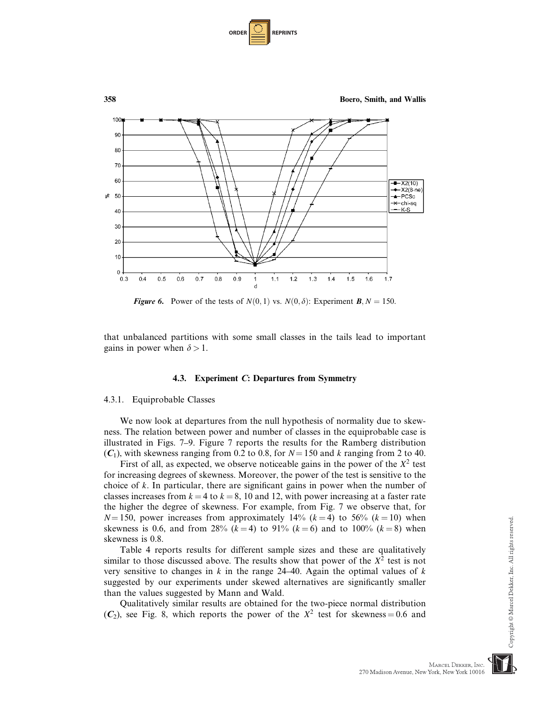



**Figure 6.** Power of the tests of  $N(0, 1)$  vs.  $N(0, \delta)$ : Experiment **B**,  $N = 150$ .

that unbalanced partitions with some small classes in the tails lead to important gains in power when  $\delta > 1$ .

#### 4.3. Experiment C: Departures from Symmetry

#### 4.3.1. Equiprobable Classes

We now look at departures from the null hypothesis of normality due to skewness. The relation between power and number of classes in the equiprobable case is illustrated in Figs. 7–9. Figure 7 reports the results for the Ramberg distribution  $(C_1)$ , with skewness ranging from 0.2 to 0.8, for  $N = 150$  and k ranging from 2 to 40.

First of all, as expected, we observe noticeable gains in the power of the  $X^2$  test for increasing degrees of skewness. Moreover, the power of the test is sensitive to the choice of k. In particular, there are significant gains in power when the number of classes increases from  $k = 4$  to  $k = 8$ , 10 and 12, with power increasing at a faster rate the higher the degree of skewness. For example, from Fig. 7 we observe that, for  $N=150$ , power increases from approximately 14% ( $k=4$ ) to 56% ( $k=10$ ) when skewness is 0.6, and from 28% ( $k = 4$ ) to 91% ( $k = 6$ ) and to 100% ( $k = 8$ ) when skewness is 0.8.

Table 4 reports results for different sample sizes and these are qualitatively similar to those discussed above. The results show that power of the  $X^2$  test is not very sensitive to changes in k in the range  $24-40$ . Again the optimal values of k suggested by our experiments under skewed alternatives are significantly smaller than the values suggested by Mann and Wald.

Qualitatively similar results are obtained for the two-piece normal distribution  $(C_2)$ , see Fig. 8, which reports the power of the  $X^2$  test for skewness = 0.6 and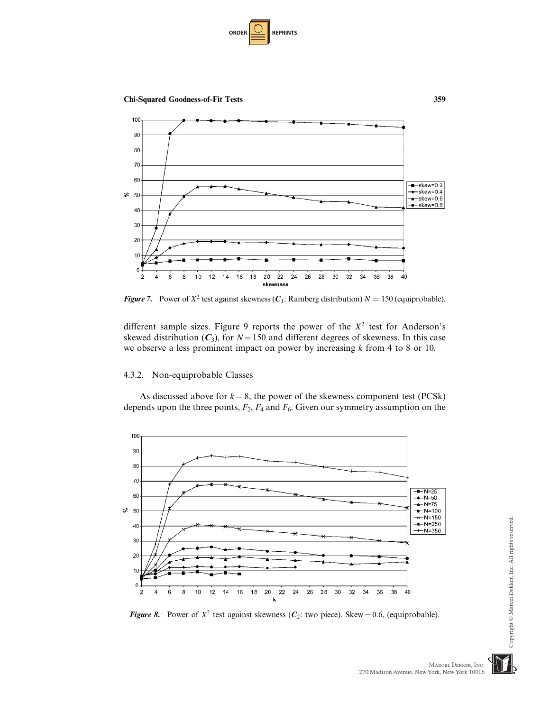



**Figure 7.** Power of  $X^2$  test against skewness ( $C_1$ : Ramberg distribution)  $N = 150$  (equiprobable).

different sample sizes. Figure 9 reports the power of the  $X^2$  test for Anderson's skewed distribution  $(C_3)$ , for  $N = 150$  and different degrees of skewness. In this case we observe a less prominent impact on power by increasing  $k$  from 4 to 8 or 10.

## 4.3.2. Non-equiprobable Classes

As discussed above for  $k = 8$ , the power of the skewness component test (PCSk) depends upon the three points,  $F_2$ ,  $F_4$  and  $F_6$ . Given our symmetry assumption on the



Figure 8. Power of  $X^2$  test against skewness ( $C_2$ : two piece). Skew = 0.6, (equiprobable).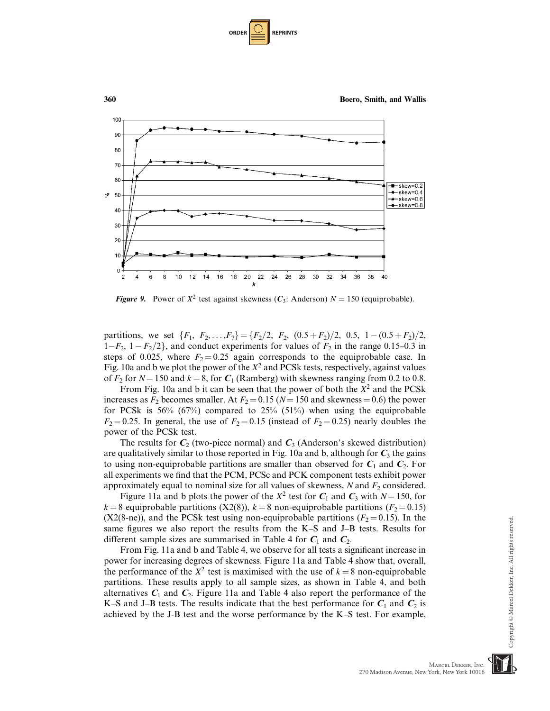| <b>ORDER</b> | <b>REPRINTS</b> |
|--------------|-----------------|
|--------------|-----------------|



**Figure 9.** Power of  $X^2$  test against skewness  $(C_3)$ : Anderson)  $N = 150$  (equiprobable).

partitions, we set  $\{F_1, F_2, \ldots, F_7\} = \{F_2/2, F_2, (0.5 + F_2)/2, 0.5, 1 - (0.5 + F_2)/2,$  $1-F_2$ ,  $1-F_2/2$ , and conduct experiments for values of  $F_2$  in the range 0.15–0.3 in steps of 0.025, where  $F_2 = 0.25$  again corresponds to the equiprobable case. In Fig. 10a and b we plot the power of the  $X^2$  and PCSk tests, respectively, against values of  $F_2$  for  $N = 150$  and  $k = 8$ , for  $C_1$  (Ramberg) with skewness ranging from 0.2 to 0.8.

From Fig. 10a and b it can be seen that the power of both the  $X^2$  and the PCSk increases as  $F_2$  becomes smaller. At  $F_2 = 0.15$  (N = 150 and skewness = 0.6) the power for PCSk is  $56\%$  (67%) compared to  $25\%$  (51%) when using the equiprobable  $F_2 = 0.25$ . In general, the use of  $F_2 = 0.15$  (instead of  $F_2 = 0.25$ ) nearly doubles the power of the PCSk test.

The results for  $C_2$  (two-piece normal) and  $C_3$  (Anderson's skewed distribution) are qualitatively similar to those reported in Fig. 10a and b, although for  $C_3$  the gains to using non-equiprobable partitions are smaller than observed for  $C_1$  and  $C_2$ . For all experiments we find that the PCM, PCSc and PCK component tests exhibit power approximately equal to nominal size for all values of skewness,  $N$  and  $F_2$  considered.

Figure 11a and b plots the power of the  $X^2$  test for  $C_1$  and  $C_3$  with  $N = 150$ , for  $k = 8$  equiprobable partitions (X2(8)),  $k = 8$  non-equiprobable partitions ( $F_2 = 0.15$ ) (X2(8-ne)), and the PCSk test using non-equiprobable partitions ( $F_2 = 0.15$ ). In the same figures we also report the results from the K–S and J–B tests. Results for different sample sizes are summarised in Table 4 for  $C_1$  and  $C_2$ .

From Fig. 11a and b and Table 4, we observe for all tests a significant increase in power for increasing degrees of skewness. Figure 11a and Table 4 show that, overall, the performance of the  $X^2$  test is maximised with the use of  $k = 8$  non-equiprobable partitions. These results apply to all sample sizes, as shown in Table 4, and both alternatives  $C_1$  and  $C_2$ . Figure 11a and Table 4 also report the performance of the K–S and J–B tests. The results indicate that the best performance for  $C_1$  and  $C_2$  is achieved by the J-B test and the worse performance by the K–S test. For example,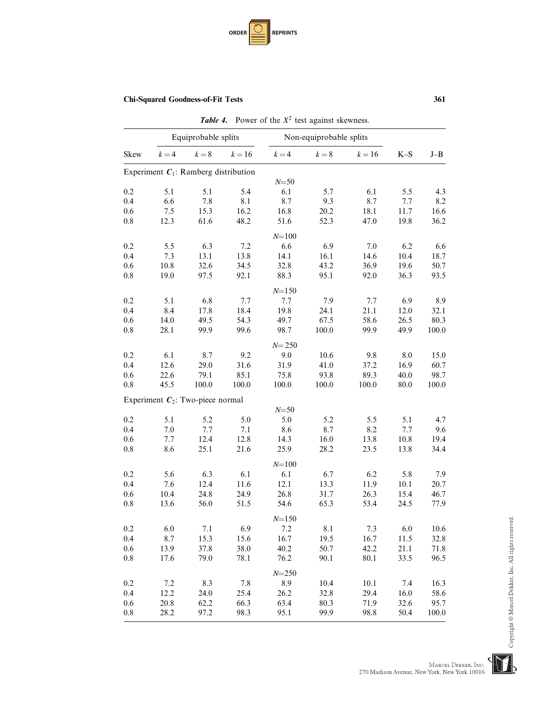

|      |         |                                         |        | <b>Table 4.</b> Power of the $X^2$ test against skewness. |                         |        |       |       |
|------|---------|-----------------------------------------|--------|-----------------------------------------------------------|-------------------------|--------|-------|-------|
|      |         | Equiprobable splits                     |        |                                                           | Non-equiprobable splits |        |       |       |
| Skew | $k = 4$ | $k=8$                                   | $k=16$ | $k = 4$                                                   | $k=8$                   | $k=16$ | $K-S$ | $J-B$ |
|      |         | Experiment $C_1$ : Ramberg distribution |        |                                                           |                         |        |       |       |
|      |         |                                         |        | $N = 50$                                                  |                         |        |       |       |
| 0.2  | 5.1     | 5.1                                     | 5.4    | 6.1                                                       | 5.7                     | 6.1    | 5.5   | 4.3   |
| 0.4  | 6.6     | 7.8                                     | 8.1    | 8.7                                                       | 9.3                     | 8.7    | 7.7   | 8.2   |
| 0.6  | 7.5     | 15.3                                    | 16.2   | 16.8                                                      | 20.2                    | 18.1   | 11.7  | 16.6  |
| 0.8  | 12.3    | 61.6                                    | 48.2   | 51.6                                                      | 52.3                    | 47.0   | 19.8  | 36.2  |
|      |         |                                         |        | $N = 100$                                                 |                         |        |       |       |
| 0.2  | 5.5     | 6.3                                     | 7.2    | 6.6                                                       | 6.9                     | 7.0    | 6.2   | 6.6   |
| 0.4  | 7.3     | 13.1                                    | 13.8   | 14.1                                                      | 16.1                    | 14.6   | 10.4  | 18.7  |
| 0.6  | 10.8    | 32.6                                    | 34.5   | 32.8                                                      | 43.2                    | 36.9   | 19.6  | 50.7  |
| 0.8  | 19.0    | 97.5                                    | 92.1   | 88.3                                                      | 95.1                    | 92.0   | 36.3  | 93.5  |
|      |         |                                         |        | $N = 150$                                                 |                         |        |       |       |
| 0.2  | 5.1     | 6.8                                     | 7.7    | 7.7                                                       | 7.9                     | 7.7    | 6.9   | 8.9   |
| 0.4  | 8.4     | 17.8                                    | 18.4   | 19.8                                                      | 24.1                    | 21.1   | 12.0  | 32.1  |
| 0.6  | 14.0    | 49.5                                    | 54.3   | 49.7                                                      | 67.5                    | 58.6   | 26.5  | 80.3  |
| 0.8  | 28.1    | 99.9                                    | 99.6   | 98.7                                                      | 100.0                   | 99.9   | 49.9  | 100.0 |
|      |         |                                         |        | $N = 250$                                                 |                         |        |       |       |
| 0.2  | 6.1     | 8.7                                     | 9.2    | 9.0                                                       | 10.6                    | 9.8    | 8.0   | 15.0  |
| 0.4  | 12.6    | 29.0                                    | 31.6   | 31.9                                                      | 41.0                    | 37.2   | 16.9  | 60.7  |
| 0.6  | 22.6    | 79.1                                    | 85.1   | 75.8                                                      | 93.8                    | 89.3   | 40.0  | 98.7  |
| 0.8  | 45.5    | 100.0                                   | 100.0  | 100.0                                                     | 100.0                   | 100.0  | 80.0  | 100.0 |
|      |         | Experiment $C_2$ : Two-piece normal     |        |                                                           |                         |        |       |       |
|      |         |                                         |        | $N = 50$                                                  |                         |        |       |       |
| 0.2  | 5.1     | 5.2                                     | 5.0    | 5.0                                                       | 5.2                     | 5.5    | 5.1   | 4.7   |
| 0.4  | 7.0     | 7.7                                     | 7.1    | 8.6                                                       | 8.7                     | 8.2    | 7.7   | 9.6   |
| 0.6  | 7.7     | 12.4                                    | 12.8   | 14.3                                                      | 16.0                    | 13.8   | 10.8  | 19.4  |
| 0.8  | 8.6     | 25.1                                    | 21.6   | 25.9                                                      | 28.2                    | 23.5   | 13.8  | 34.4  |
|      |         |                                         |        | $N = 100$                                                 |                         |        |       |       |
| 0.2  | 5.6     | 6.3                                     | 6.1    | 6.1                                                       | 6.7                     | 6.2    | 5.8   | 7.9   |
| 0.4  | 7.6     | 12.4                                    | 11.6   | 12.1                                                      | 13.3                    | 11.9   | 10.1  | 20.7  |
| 0.6  | 10.4    | 24.8                                    | 24.9   | 26.8                                                      | 31.7                    | 26.3   | 15.4  | 46.7  |
| 0.8  | 13.6    | 56.0                                    | 51.5   | 54.6                                                      | 65.3                    | 53.4   | 24.5  | 77.9  |
|      |         |                                         |        | $N = 150$                                                 |                         |        |       |       |
| 0.2  | 6.0     | 7.1                                     | 6.9    | 7.2                                                       | 8.1                     | 7.3    | 6.0   | 10.6  |
| 0.4  | 8.7     | 15.3                                    | 15.6   | 16.7                                                      | 19.5                    | 16.7   | 11.5  | 32.8  |
| 0.6  | 13.9    | 37.8                                    | 38.0   | 40.2                                                      | 50.7                    | 42.2   | 21.1  | 71.8  |
| 0.8  | 17.6    | 79.0                                    | 78.1   | 76.2                                                      | 90.1                    | 80.1   | 33.5  | 96.5  |
|      |         |                                         |        | $N = 250$                                                 |                         |        |       |       |
| 0.2  | 7.2     | 8.3                                     | 7.8    | 8.9                                                       | 10.4                    | 10.1   | 7.4   | 16.3  |
| 0.4  | 12.2    | 24.0                                    | 25.4   | 26.2                                                      | 32.8                    | 29.4   | 16.0  | 58.6  |
| 0.6  | 20.8    | 62.2                                    | 66.3   | 63.4                                                      | 80.3                    | 71.9   | 32.6  | 95.7  |
| 0.8  | 28.2    | 97.2                                    | 98.3   | 95.1                                                      | 99.9                    | 98.8   | 50.4  | 100.0 |
|      |         |                                         |        |                                                           |                         |        |       |       |

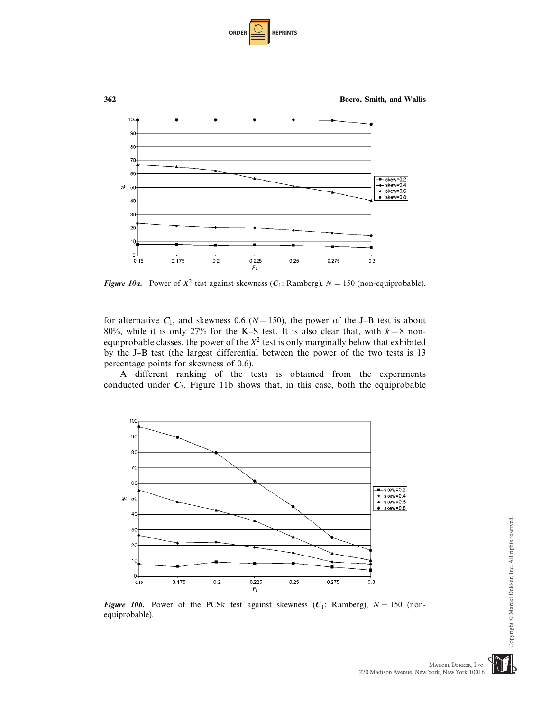| <b>ORDER I</b> | <b>REPRINTS</b> |
|----------------|-----------------|
|----------------|-----------------|



**Figure 10a.** Power of  $X^2$  test against skewness ( $C_1$ : Ramberg),  $N = 150$  (non-equiprobable).

for alternative  $C_1$ , and skewness 0.6 ( $N = 150$ ), the power of the J–B test is about 80%, while it is only 27% for the K–S test. It is also clear that, with  $k = 8$  nonequiprobable classes, the power of the  $X^2$  test is only marginally below that exhibited by the J–B test (the largest differential between the power of the two tests is 13 percentage points for skewness of 0.6).

A different ranking of the tests is obtained from the experiments conducted under  $C_3$ . Figure 11b shows that, in this case, both the equiprobable



**Figure 10b.** Power of the PCSk test against skewness ( $C_1$ : Ramberg),  $N = 150$  (nonequiprobable).

MARCEL DEKKER, INC.

270 Madison Avenue, New York, New York 10016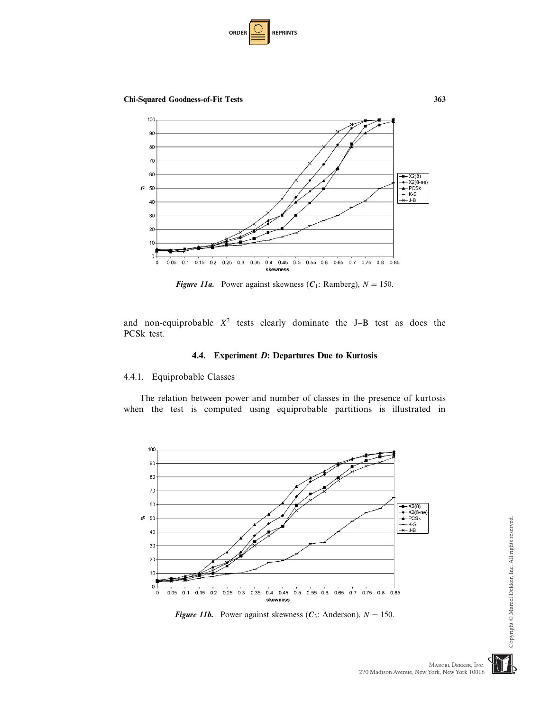

Chi-Squared Goodness-of-Fit Tests 363



**Figure 11a.** Power against skewness ( $C_1$ : Ramberg),  $N = 150$ .

and non-equiprobable  $X^2$  tests clearly dominate the J–B test as does the PCSk test.

## 4.4. Experiment D: Departures Due to Kurtosis

## 4.4.1. Equiprobable Classes

The relation between power and number of classes in the presence of kurtosis when the test is computed using equiprobable partitions is illustrated in





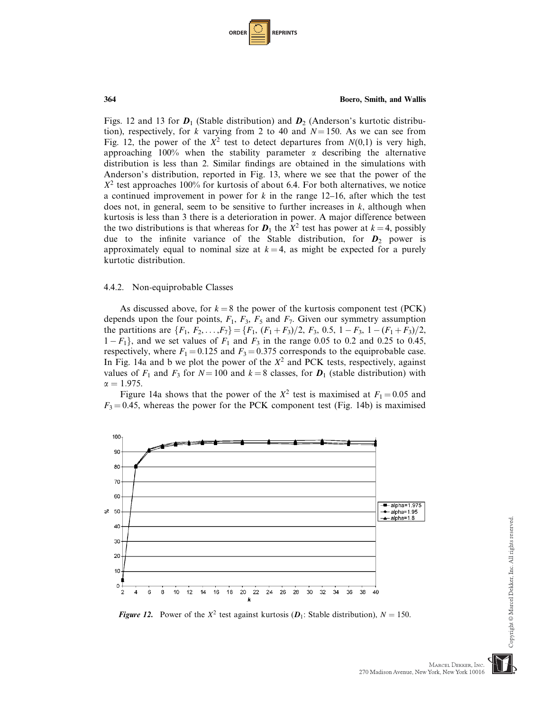| <b>ORDER</b> |  | <b>REPRINTS</b> |
|--------------|--|-----------------|
|--------------|--|-----------------|

Figs. 12 and 13 for  $D_1$  (Stable distribution) and  $D_2$  (Anderson's kurtotic distribution), respectively, for k varying from 2 to 40 and  $N = 150$ . As we can see from Fig. 12, the power of the  $X^2$  test to detect departures from  $N(0,1)$  is very high, approaching 100% when the stability parameter  $\alpha$  describing the alternative distribution is less than 2. Similar findings are obtained in the simulations with Anderson's distribution, reported in Fig. 13, where we see that the power of the  $X^2$  test approaches 100% for kurtosis of about 6.4. For both alternatives, we notice a continued improvement in power for  $k$  in the range 12–16, after which the test does not, in general, seem to be sensitive to further increases in  $k$ , although when kurtosis is less than 3 there is a deterioration in power. A major difference between the two distributions is that whereas for  $D_1$  the  $X^2$  test has power at  $k = 4$ , possibly due to the infinite variance of the Stable distribution, for  $D_2$  power is approximately equal to nominal size at  $k = 4$ , as might be expected for a purely kurtotic distribution.

#### 4.4.2. Non-equiprobable Classes

As discussed above, for  $k = 8$  the power of the kurtosis component test (PCK) depends upon the four points,  $F_1$ ,  $F_3$ ,  $F_5$  and  $F_7$ . Given our symmetry assumption the partitions are  $\{F_1, F_2, \ldots, F_7\} = \{F_1, (F_1 + F_3)/2, F_3, 0.5, 1 - F_3, 1 - (F_1 + F_3)/2,$  $1 - F_1$ , and we set values of  $F_1$  and  $F_3$  in the range 0.05 to 0.2 and 0.25 to 0.45, respectively, where  $F_1 = 0.125$  and  $F_3 = 0.375$  corresponds to the equiprobable case. In Fig. 14a and b we plot the power of the  $X^2$  and PCK tests, respectively, against values of  $F_1$  and  $F_3$  for  $N = 100$  and  $k = 8$  classes, for  $D_1$  (stable distribution) with  $\alpha = 1.975$ .

Figure 14a shows that the power of the  $X^2$  test is maximised at  $F_1 = 0.05$  and  $F_3 = 0.45$ , whereas the power for the PCK component test (Fig. 14b) is maximised



**Figure 12.** Power of the  $X^2$  test against kurtosis ( $D_1$ : Stable distribution),  $N = 150$ .

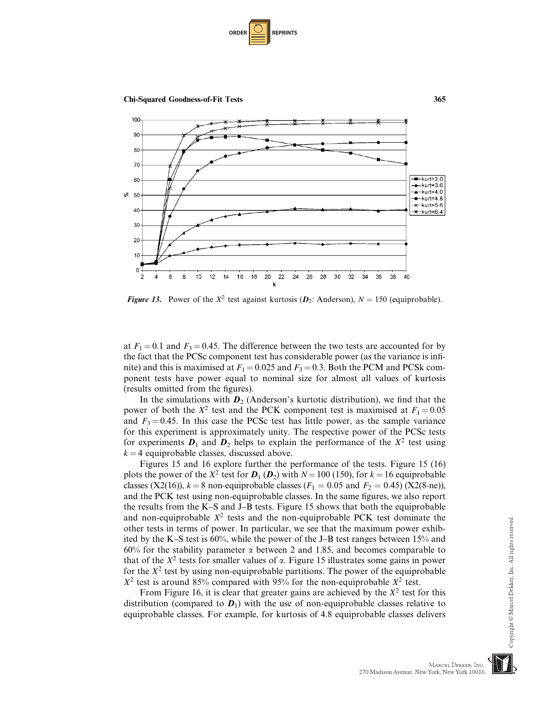

Chi-Squared Goodness-of-Fit Tests 365



**Figure 13.** Power of the  $X^2$  test against kurtosis ( $D_2$ : Anderson),  $N = 150$  (equiprobable).

at  $F_1 = 0.1$  and  $F_3 = 0.45$ . The difference between the two tests are accounted for by the fact that the PCSc component test has considerable power (as the variance is infinite) and this is maximised at  $F_1 = 0.025$  and  $F_3 = 0.3$ . Both the PCM and PCSk component tests have power equal to nominal size for almost all values of kurtosis (results omitted from the figures).

In the simulations with  $D_2$  (Anderson's kurtotic distribution), we find that the power of both the  $X^2$  test and the PCK component test is maximised at  $F_1 = 0.05$ and  $F_3 = 0.45$ . In this case the PCSc test has little power, as the sample variance for this experiment is approximately unity. The respective power of the PCSc tests for experiments  $D_1$  and  $D_2$  helps to explain the performance of the  $X^2$  test using  $k = 4$  equiprobable classes, discussed above.

Figures 15 and 16 explore further the performance of the tests. Figure 15 (16) plots the power of the  $X^2$  test for  $D_1 (D_2)$  with  $N = 100$  (150), for  $k = 16$  equiprobable classes (X2(16)),  $k = 8$  non-equiprobable classes ( $F_1 = 0.05$  and  $F_2 = 0.45$ ) (X2(8-ne)), and the PCK test using non-equiprobable classes. In the same figures, we also report the results from the K–S and J–B tests. Figure 15 shows that both the equiprobable and non-equiprobable  $X^2$  tests and the non-equiprobable PCK test dominate the other tests in terms of power. In particular, we see that the maximum power exhibited by the K–S test is 60%, while the power of the J–B test ranges between 15% and 60% for the stability parameter  $\alpha$  between 2 and 1.85, and becomes comparable to that of the  $X^2$  tests for smaller values of  $\alpha$ . Figure 15 illustrates some gains in power for the  $X^2$  test by using non-equiprobable partitions. The power of the equiprobable  $X^2$  test is around 85% compared with 95% for the non-equiprobable  $X^2$  test.

From Figure 16, it is clear that greater gains are achieved by the  $X^2$  test for this distribution (compared to  $D_1$ ) with the use of non-equiprobable classes relative to equiprobable classes. For example, for kurtosis of 4.8 equiprobable classes delivers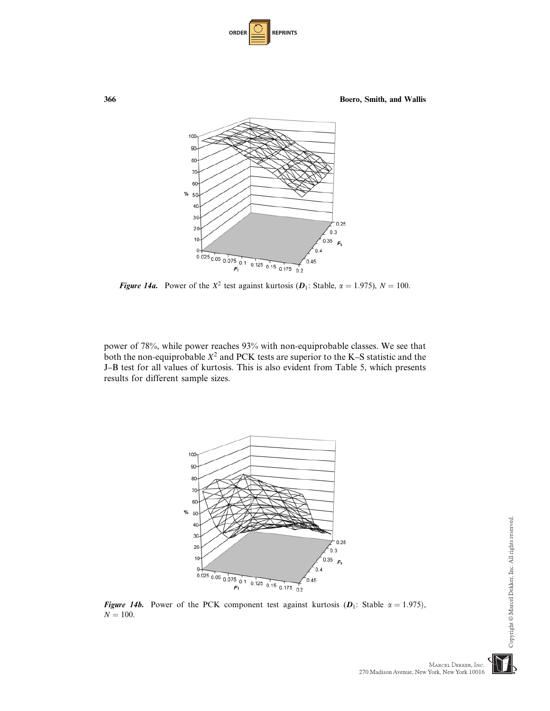| <b>ORDER</b> | <b>REPRINTS</b> |
|--------------|-----------------|
|--------------|-----------------|



**Figure 14a.** Power of the  $X^2$  test against kurtosis ( $D_1$ : Stable,  $\alpha = 1.975$ ),  $N = 100$ .

power of 78%, while power reaches 93% with non-equiprobable classes. We see that both the non-equiprobable  $X^2$  and PCK tests are superior to the K–S statistic and the J–B test for all values of kurtosis. This is also evident from Table 5, which presents results for different sample sizes.



Figure 14b. Power of the PCK component test against kurtosis  $(D_1:$  Stable  $\alpha = 1.975)$ ,  $N = 100$ .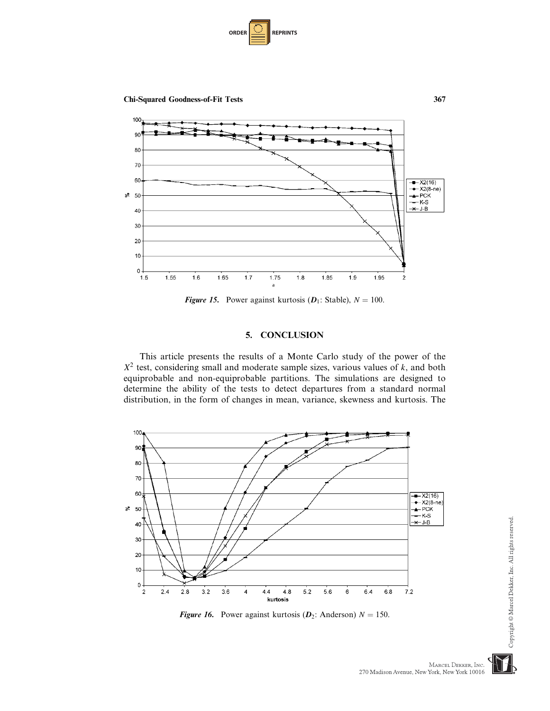



**Figure 15.** Power against kurtosis  $(D_1: \text{Stable})$ ,  $N = 100$ .

## 5. CONCLUSION

This article presents the results of a Monte Carlo study of the power of the  $X<sup>2</sup>$  test, considering small and moderate sample sizes, various values of k, and both equiprobable and non-equiprobable partitions. The simulations are designed to determine the ability of the tests to detect departures from a standard normal distribution, in the form of changes in mean, variance, skewness and kurtosis. The



**Figure 16.** Power against kurtosis ( $D_2$ : Anderson)  $N = 150$ .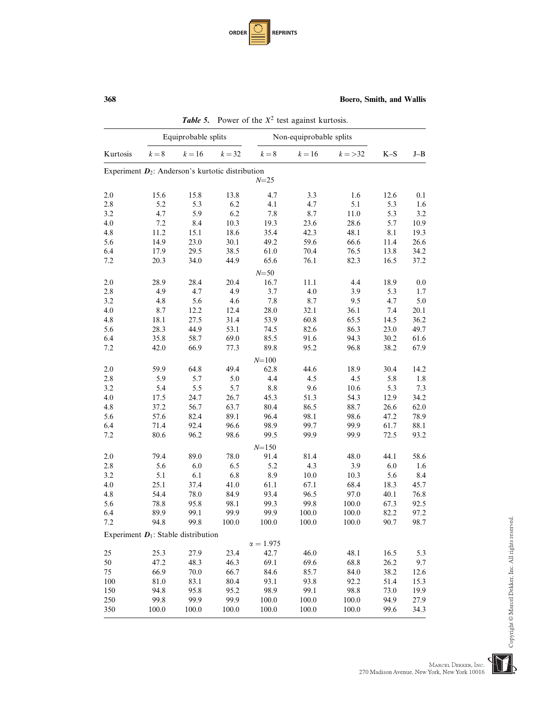| <b>ORDER</b> |  | <b>REPRINTS</b> |
|--------------|--|-----------------|
|--------------|--|-----------------|

|          |       | Equiprobable splits                                 |          |                | Non-equiprobable splits |            |       |         |
|----------|-------|-----------------------------------------------------|----------|----------------|-------------------------|------------|-------|---------|
| Kurtosis | $k=8$ | $k = 16$                                            | $k = 32$ | $k=8$          | $k=16$                  | $k = > 32$ | $K-S$ | $J - B$ |
|          |       | Experiment $D_2$ : Anderson's kurtotic distribution |          |                |                         |            |       |         |
|          |       |                                                     |          | $N = 25$       |                         |            |       |         |
| 2.0      | 15.6  | 15.8                                                | 13.8     | 4.7            | 3.3                     | 1.6        | 12.6  | 0.1     |
| 2.8      | 5.2   | 5.3                                                 | 6.2      | 4.1            | 4.7                     | 5.1        | 5.3   | 1.6     |
| 3.2      | 4.7   | 5.9                                                 | 6.2      | 7.8            | 8.7                     | 11.0       | 5.3   | 3.2     |
| 4.0      | 7.2   | 8.4                                                 | 10.3     | 19.3           | 23.6                    | 28.6       | 5.7   | 10.9    |
| 4.8      | 11.2  | 15.1                                                | 18.6     | 35.4           | 42.3                    | 48.1       | 8.1   | 19.3    |
| 5.6      | 14.9  | 23.0                                                | 30.1     | 49.2           | 59.6                    | 66.6       | 11.4  | 26.6    |
| 6.4      | 17.9  | 29.5                                                | 38.5     | 61.0           | 70.4                    | 76.5       | 13.8  | 34.2    |
| 7.2      | 20.3  | 34.0                                                | 44.9     | 65.6           | 76.1                    | 82.3       | 16.5  | 37.2    |
|          |       |                                                     |          | $N = 50$       |                         |            |       |         |
| 2.0      | 28.9  | 28.4                                                | 20.4     | 16.7           | 11.1                    | 4.4        | 18.9  | 0.0     |
| $2.8\,$  | 4.9   | 4.7                                                 | 4.9      | 3.7            | 4.0                     | 3.9        | 5.3   | 1.7     |
| 3.2      | 4.8   | 5.6                                                 | 4.6      | 7.8            | 8.7                     | 9.5        | 4.7   | 5.0     |
| 4.0      | 8.7   | 12.2                                                | 12.4     | 28.0           | 32.1                    | 36.1       | 7.4   | 20.1    |
| 4.8      | 18.1  | 27.5                                                | 31.4     | 53.9           | 60.8                    | 65.5       | 14.5  | 36.2    |
| 5.6      | 28.3  | 44.9                                                | 53.1     | 74.5           | 82.6                    | 86.3       | 23.0  | 49.7    |
| 6.4      | 35.8  | 58.7                                                | 69.0     | 85.5           | 91.6                    | 94.3       | 30.2  | 61.6    |
| 7.2      | 42.0  | 66.9                                                | 77.3     | 89.8           | 95.2                    | 96.8       | 38.2  | 67.9    |
|          |       |                                                     |          | $N = 100$      |                         |            |       |         |
| 2.0      | 59.9  | 64.8                                                | 49.4     | 62.8           | 44.6                    | 18.9       | 30.4  | 14.2    |
| $2.8\,$  | 5.9   | 5.7                                                 | 5.0      | 4.4            | 4.5                     | 4.5        | 5.8   | 1.8     |
| 3.2      | 5.4   | 5.5                                                 | 5.7      | 8.8            | 9.6                     | 10.6       | 5.3   | 7.3     |
| 4.0      | 17.5  | 24.7                                                | 26.7     | 45.3           | 51.3                    | 54.3       | 12.9  | 34.2    |
| 4.8      | 37.2  | 56.7                                                | 63.7     | 80.4           | 86.5                    | 88.7       | 26.6  | 62.0    |
| 5.6      | 57.6  | 82.4                                                | 89.1     | 96.4           | 98.1                    | 98.6       | 47.2  | 78.9    |
| 6.4      | 71.4  | 92.4                                                | 96.6     | 98.9           | 99.7                    | 99.9       | 61.7  | 88.1    |
| 7.2      | 80.6  | 96.2                                                | 98.6     | 99.5           | 99.9                    | 99.9       | 72.5  | 93.2    |
|          |       |                                                     |          | $N = 150$      |                         |            |       |         |
| 2.0      | 79.4  | 89.0                                                | 78.0     | 91.4           | 81.4                    | 48.0       | 44.1  | 58.6    |
| 2.8      | 5.6   | 6.0                                                 | 6.5      | 5.2            | 4.3                     | 3.9        | 6.0   | 1.6     |
| 3.2      | 5.1   | 6.1                                                 | 6.8      | 8.9            | 10.0                    | 10.3       | 5.6   | 8.4     |
| 4.0      | 25.1  | 37.4                                                | 41.0     | 61.1           | 67.1                    | 68.4       | 18.3  | 45.7    |
| 4.8      | 54.4  | 78.0                                                | 84.9     | 93.4           | 96.5                    | 97.0       | 40.1  | 76.8    |
| 5.6      | 78.8  | 95.8                                                | 98.1     | 99.3           | 99.8                    | 100.0      | 67.3  | 92.5    |
| 6.4      | 89.9  | 99.1                                                | 99.9     | 99.9           | 100.0                   | 100.0      | 82.2  | 97.2    |
| 7.2      | 94.8  | 99.8                                                | 100.0    | 100.0          | 100.0                   | 100.0      | 90.7  | 98.7    |
|          |       | Experiment $D_1$ : Stable distribution              |          |                |                         |            |       |         |
|          |       |                                                     |          | $\alpha=1.975$ |                         |            |       |         |
| 25       | 25.3  | 27.9                                                | 23.4     | 42.7           | 46.0                    | 48.1       | 16.5  | 5.3     |
| 50       | 47.2  | 48.3                                                | 46.3     | 69.1           | 69.6                    | 68.8       | 26.2  | 9.7     |
| 75       | 66.9  | $70.0\,$                                            | 66.7     | 84.6           | 85.7                    | 84.0       | 38.2  | 12.6    |
| 100      | 81.0  | 83.1                                                | 80.4     | 93.1           | 93.8                    | 92.2       | 51.4  | 15.3    |
| 150      | 94.8  | 95.8                                                | 95.2     | 98.9           | 99.1                    | 98.8       | 73.0  | 19.9    |
| 250      | 99.8  | 99.9                                                | 99.9     | 100.0          | 100.0                   | 100.0      | 94.9  | 27.9    |
| 350      | 100.0 | 100.0                                               | 100.0    | 100.0          | 100.0                   | 100.0      | 99.6  | 34.3    |

**Table 5.** Power of the  $X^2$  test against kurtosis.

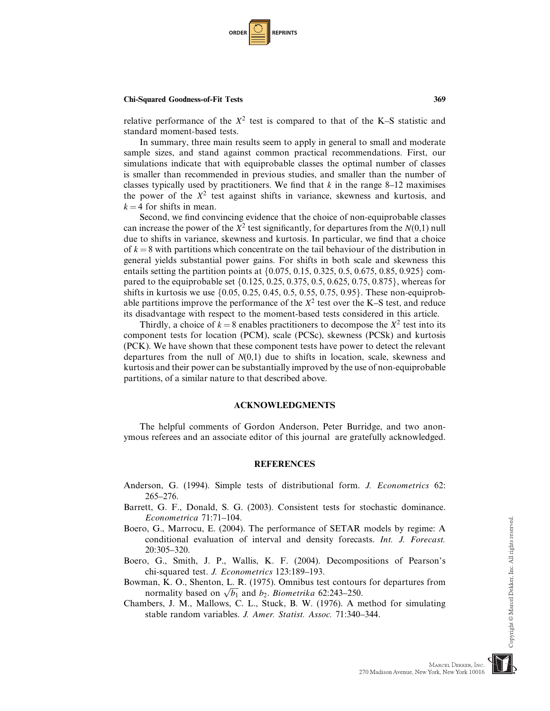

relative performance of the  $X^2$  test is compared to that of the K–S statistic and standard moment-based tests.

In summary, three main results seem to apply in general to small and moderate sample sizes, and stand against common practical recommendations. First, our simulations indicate that with equiprobable classes the optimal number of classes is smaller than recommended in previous studies, and smaller than the number of classes typically used by practitioners. We find that  $k$  in the range 8–12 maximises the power of the  $X^2$  test against shifts in variance, skewness and kurtosis, and  $k = 4$  for shifts in mean.

Second, we find convincing evidence that the choice of non-equiprobable classes can increase the power of the  $X^2$  test significantly, for departures from the  $N(0,1)$  null due to shifts in variance, skewness and kurtosis. In particular, we find that a choice of  $k = 8$  with partitions which concentrate on the tail behaviour of the distribution in general yields substantial power gains. For shifts in both scale and skewness this entails setting the partition points at  $\{0.075, 0.15, 0.325, 0.5, 0.675, 0.85, 0.925\}$  compared to the equiprobable set  $\{0.125, 0.25, 0.375, 0.5, 0.625, 0.75, 0.875\}$ , whereas for shifts in kurtosis we use  $\{0.05, 0.25, 0.45, 0.5, 0.55, 0.75, 0.95\}$ . These non-equiprobable partitions improve the performance of the  $X^2$  test over the K–S test, and reduce its disadvantage with respect to the moment-based tests considered in this article.

Thirdly, a choice of  $k = 8$  enables practitioners to decompose the  $X^2$  test into its component tests for location (PCM), scale (PCSc), skewness (PCSk) and kurtosis (PCK). We have shown that these component tests have power to detect the relevant departures from the null of  $N(0,1)$  due to shifts in location, scale, skewness and kurtosis and their power can be substantially improved by the use of non-equiprobable partitions, of a similar nature to that described above.

### ACKNOWLEDGMENTS

The helpful comments of Gordon Anderson, Peter Burridge, and two anonymous referees and an associate editor of this journal are gratefully acknowledged.

#### REFERENCES

- Anderson, G. (1994). Simple tests of distributional form. J. Econometrics 62: 265–276.
- Barrett, G. F., Donald, S. G. (2003). Consistent tests for stochastic dominance. Econometrica 71:71–104.
- Boero, G., Marrocu, E. (2004). The performance of SETAR models by regime: A conditional evaluation of interval and density forecasts. Int. J. Forecast. 20:305–320.
- Boero, G., Smith, J. P., Wallis, K. F. (2004). Decompositions of Pearson's chi-squared test. J. Econometrics 123:189–193.

Bowman, K. O., Shenton, L. R. (1975). Omnibus test contours for departures from normality based on  $\sqrt{b_1}$  and  $b_2$ . Biometrika 62:243–250.

Chambers, J. M., Mallows, C. L., Stuck, B. W. (1976). A method for simulating stable random variables. J. Amer. Statist. Assoc. 71:340–344.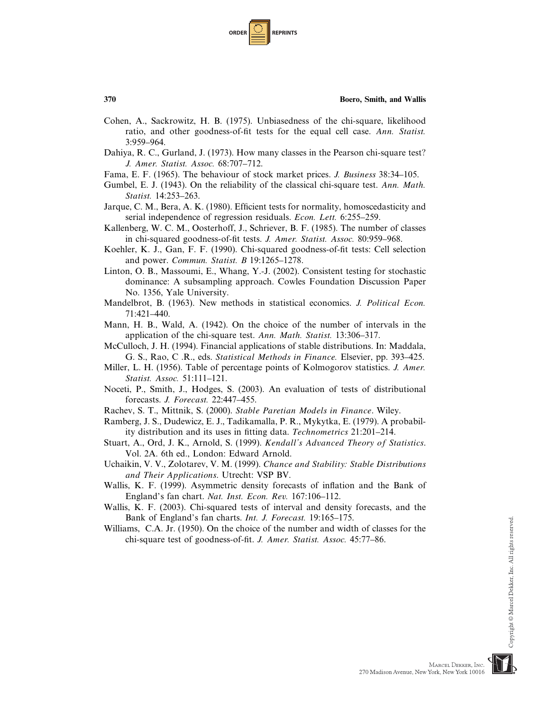| <b>ORDER</b> |  | <b>REPRINTS</b> |
|--------------|--|-----------------|
|--------------|--|-----------------|

- Cohen, A., Sackrowitz, H. B. (1975). Unbiasedness of the chi-square, likelihood ratio, and other goodness-of-fit tests for the equal cell case. Ann. Statist. 3:959–964.
- Dahiya, R. C., Gurland, J. (1973). How many classes in the Pearson chi-square test? J. Amer. Statist. Assoc. 68:707–712.
- Fama, E. F. (1965). The behaviour of stock market prices. J. Business 38:34–105.
- Gumbel, E. J. (1943). On the reliability of the classical chi-square test. Ann. Math. Statist. 14:253–263.
- Jarque, C. M., Bera, A. K. (1980). Efficient tests for normality, homoscedasticity and serial independence of regression residuals. Econ. Lett. 6:255–259.
- Kallenberg, W. C. M., Oosterhoff, J., Schriever, B. F. (1985). The number of classes in chi-squared goodness-of-fit tests. J. Amer. Statist. Assoc. 80:959–968.
- Koehler, K. J., Gan, F. F. (1990). Chi-squared goodness-of-fit tests: Cell selection and power. Commun. Statist. B 19:1265–1278.
- Linton, O. B., Massoumi, E., Whang, Y.-J. (2002). Consistent testing for stochastic dominance: A subsampling approach. Cowles Foundation Discussion Paper No. 1356, Yale University.
- Mandelbrot, B. (1963). New methods in statistical economics. J. Political Econ. 71:421–440.
- Mann, H. B., Wald, A. (1942). On the choice of the number of intervals in the application of the chi-square test. Ann. Math. Statist. 13:306–317.
- McCulloch, J. H. (1994). Financial applications of stable distributions. In: Maddala, G. S., Rao, C .R., eds. Statistical Methods in Finance. Elsevier, pp. 393–425.
- Miller, L. H. (1956). Table of percentage points of Kolmogorov statistics. J. Amer. Statist. Assoc. 51:111–121.
- Noceti, P., Smith, J., Hodges, S. (2003). An evaluation of tests of distributional forecasts. J. Forecast. 22:447–455.
- Rachev, S. T., Mittnik, S. (2000). Stable Paretian Models in Finance. Wiley.
- Ramberg, J. S., Dudewicz, E. J., Tadikamalla, P. R., Mykytka, E. (1979). A probability distribution and its uses in fitting data. Technometrics 21:201–214.
- Stuart, A., Ord, J. K., Arnold, S. (1999). Kendall's Advanced Theory of Statistics. Vol. 2A. 6th ed., London: Edward Arnold.
- Uchaikin, V. V., Zolotarev, V. M. (1999). Chance and Stability: Stable Distributions and Their Applications. Utrecht: VSP BV.
- Wallis, K. F. (1999). Asymmetric density forecasts of inflation and the Bank of England's fan chart. Nat. Inst. Econ. Rev. 167:106–112.
- Wallis, K. F. (2003). Chi-squared tests of interval and density forecasts, and the Bank of England's fan charts. Int. J. Forecast. 19:165–175.
- Williams, C.A. Jr. (1950). On the choice of the number and width of classes for the chi-square test of goodness-of-fit. J. Amer. Statist. Assoc. 45:77–86.